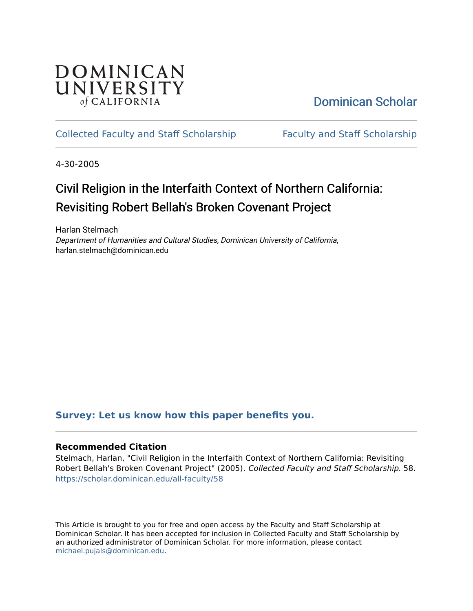

[Dominican Scholar](https://scholar.dominican.edu/) 

# [Collected Faculty and Staff Scholarship](https://scholar.dominican.edu/all-faculty) [Faculty and Staff Scholarship](https://scholar.dominican.edu/faculty-scholarship)

4-30-2005

# Civil Religion in the Interfaith Context of Northern California: Revisiting Robert Bellah's Broken Covenant Project

Harlan Stelmach Department of Humanities and Cultural Studies, Dominican University of California, harlan.stelmach@dominican.edu

# **[Survey: Let us know how this paper benefits you.](https://dominican.libwizard.com/dominican-scholar-feedback)**

# **Recommended Citation**

Stelmach, Harlan, "Civil Religion in the Interfaith Context of Northern California: Revisiting Robert Bellah's Broken Covenant Project" (2005). Collected Faculty and Staff Scholarship. 58. [https://scholar.dominican.edu/all-faculty/58](https://scholar.dominican.edu/all-faculty/58?utm_source=scholar.dominican.edu%2Fall-faculty%2F58&utm_medium=PDF&utm_campaign=PDFCoverPages)

This Article is brought to you for free and open access by the Faculty and Staff Scholarship at Dominican Scholar. It has been accepted for inclusion in Collected Faculty and Staff Scholarship by an authorized administrator of Dominican Scholar. For more information, please contact [michael.pujals@dominican.edu.](mailto:michael.pujals@dominican.edu)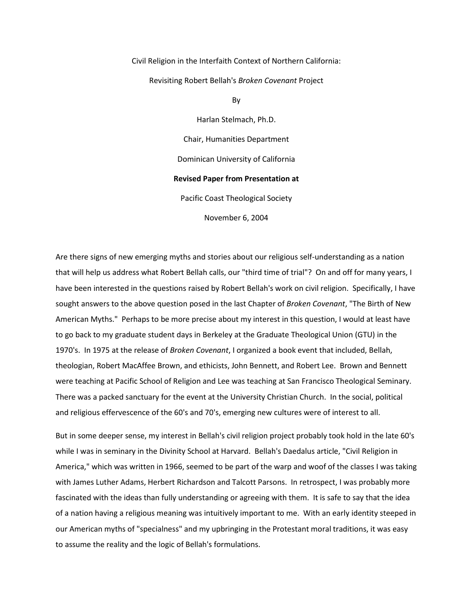Civil Religion in the Interfaith Context of Northern California: Revisiting Robert Bellah's *Broken Covenant* Project

By

Harlan Stelmach, Ph.D. Chair, Humanities Department Dominican University of California **Revised Paper from Presentation at** Pacific Coast Theological Society

November 6, 2004

Are there signs of new emerging myths and stories about our religious self-understanding as a nation that will help us address what Robert Bellah calls, our "third time of trial"? On and off for many years, I have been interested in the questions raised by Robert Bellah's work on civil religion. Specifically, I have sought answers to the above question posed in the last Chapter of *Broken Covenant*, "The Birth of New American Myths." Perhaps to be more precise about my interest in this question, I would at least have to go back to my graduate student days in Berkeley at the Graduate Theological Union (GTU) in the 1970's. In 1975 at the release of *Broken Covenant*, I organized a book event that included, Bellah, theologian, Robert MacAffee Brown, and ethicists, John Bennett, and Robert Lee. Brown and Bennett were teaching at Pacific School of Religion and Lee was teaching at San Francisco Theological Seminary. There was a packed sanctuary for the event at the University Christian Church. In the social, political and religious effervescence of the 60's and 70's, emerging new cultures were of interest to all.

But in some deeper sense, my interest in Bellah's civil religion project probably took hold in the late 60's while I was in seminary in the Divinity School at Harvard. Bellah's Daedalus article, "Civil Religion in America," which was written in 1966, seemed to be part of the warp and woof of the classes I was taking with James Luther Adams, Herbert Richardson and Talcott Parsons. In retrospect, I was probably more fascinated with the ideas than fully understanding or agreeing with them. It is safe to say that the idea of a nation having a religious meaning was intuitively important to me. With an early identity steeped in our American myths of "specialness" and my upbringing in the Protestant moral traditions, it was easy to assume the reality and the logic of Bellah's formulations.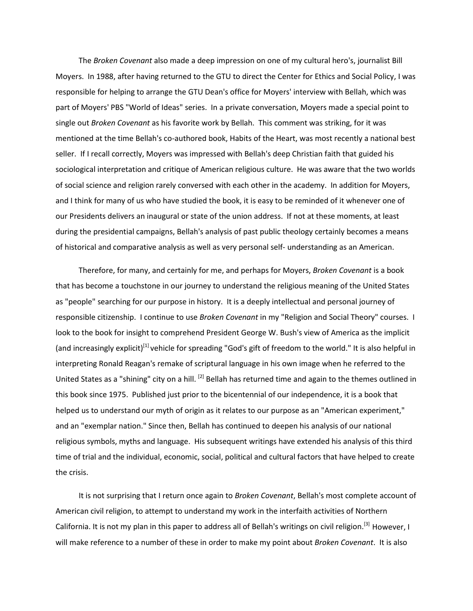The *Broken Covenant* also made a deep impression on one of my cultural hero's, journalist Bill Moyers. In 1988, after having returned to the GTU to direct the Center for Ethics and Social Policy, I was responsible for helping to arrange the GTU Dean's office for Moyers' interview with Bellah, which was part of Moyers' PBS "World of Ideas" series. In a private conversation, Moyers made a special point to single out *Broken Covenant* as his favorite work by Bellah. This comment was striking, for it was mentioned at the time Bellah's co-authored book, Habits of the Heart, was most recently a national best seller. If I recall correctly, Moyers was impressed with Bellah's deep Christian faith that guided his sociological interpretation and critique of American religious culture. He was aware that the two worlds of social science and religion rarely conversed with each other in the academy. In addition for Moyers, and I think for many of us who have studied the book, it is easy to be reminded of it whenever one of our Presidents delivers an inaugural or state of the union address. If not at these moments, at least during the presidential campaigns, Bellah's analysis of past public theology certainly becomes a means of historical and comparative analysis as well as very personal self- understanding as an American.

 Therefore, for many, and certainly for me, and perhaps for Moyers, *Broken Covenant* is a book that has become a touchstone in our journey to understand the religious meaning of the United States as "people" searching for our purpose in history. It is a deeply intellectual and personal journey of responsible citizenship. I continue to use *Broken Covenant* in my "Religion and Social Theory" courses. I look to the book for insight to comprehend President George W. Bush's view of America as the implicit (and increasingly explicit)<sup>[1]</sup> vehicle for spreading "God's gift of freedom to the world." It is also helpful in interpreting Ronald Reagan's remake of scriptural language in his own image when he referred to the United States as a "shining" city on a hill. <sup>[2]</sup> Bellah has returned time and again to the themes outlined in this book since 1975. Published just prior to the bicentennial of our independence, it is a book that helped us to understand our myth of origin as it relates to our purpose as an "American experiment," and an "exemplar nation." Since then, Bellah has continued to deepen his analysis of our national religious symbols, myths and language. His subsequent writings have extended his analysis of this third time of trial and the individual, economic, social, political and cultural factors that have helped to create the crisis.

 It is not surprising that I return once again to *Broken Covenant*, Bellah's most complete account of American civil religion, to attempt to understand my work in the interfaith activities of Northern California. It is not my plan in this paper to address all of Bellah's writings on civil religion.<sup>[3]</sup> However, I will make reference to a number of these in order to make my point about *Broken Covenant*. It is also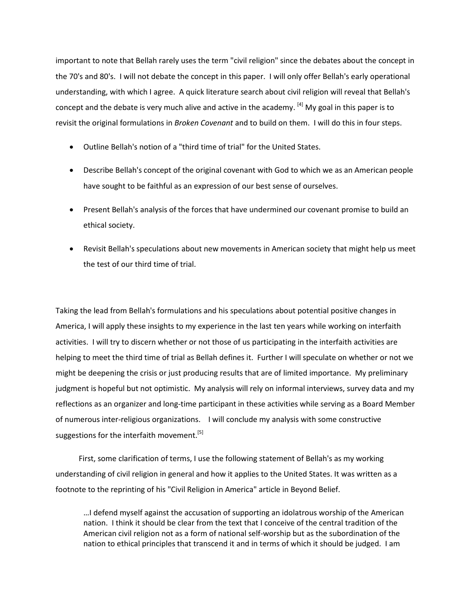important to note that Bellah rarely uses the term "civil religion" since the debates about the concept in the 70's and 80's. I will not debate the concept in this paper. I will only offer Bellah's early operational understanding, with which I agree. A quick literature search about civil religion will reveal that Bellah's concept and the debate is very much alive and active in the academy.  $^{[4]}$  My goal in this paper is to revisit the original formulations in *Broken Covenant* and to build on them. I will do this in four steps.

- Outline Bellah's notion of a "third time of trial" for the United States.
- Describe Bellah's concept of the original covenant with God to which we as an American people have sought to be faithful as an expression of our best sense of ourselves.
- Present Bellah's analysis of the forces that have undermined our covenant promise to build an ethical society.
- Revisit Bellah's speculations about new movements in American society that might help us meet the test of our third time of trial.

Taking the lead from Bellah's formulations and his speculations about potential positive changes in America, I will apply these insights to my experience in the last ten years while working on interfaith activities. I will try to discern whether or not those of us participating in the interfaith activities are helping to meet the third time of trial as Bellah defines it. Further I will speculate on whether or not we might be deepening the crisis or just producing results that are of limited importance. My preliminary judgment is hopeful but not optimistic. My analysis will rely on informal interviews, survey data and my reflections as an organizer and long-time participant in these activities while serving as a Board Member of numerous inter-religious organizations. I will conclude my analysis with some constructive suggestions for the interfaith movement.<sup>[5]</sup>

 First, some clarification of terms, I use the following statement of Bellah's as my working understanding of civil religion in general and how it applies to the United States. It was written as a footnote to the reprinting of his "Civil Religion in America" article in Beyond Belief.

…I defend myself against the accusation of supporting an idolatrous worship of the American nation. I think it should be clear from the text that I conceive of the central tradition of the American civil religion not as a form of national self-worship but as the subordination of the nation to ethical principles that transcend it and in terms of which it should be judged. I am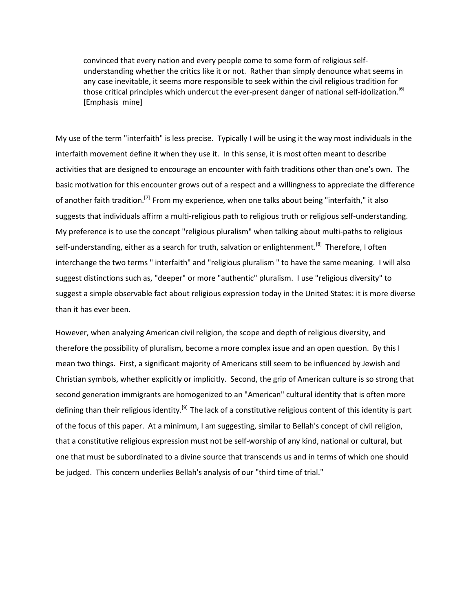convinced that every nation and every people come to some form of religious selfunderstanding whether the critics like it or not. Rather than simply denounce what seems in any case inevitable, it seems more responsible to seek within the civil religious tradition for those critical principles which undercut the ever-present danger of national self-idolization.<sup>[6]</sup> [Emphasis mine]

My use of the term "interfaith" is less precise. Typically I will be using it the way most individuals in the interfaith movement define it when they use it. In this sense, it is most often meant to describe activities that are designed to encourage an encounter with faith traditions other than one's own. The basic motivation for this encounter grows out of a respect and a willingness to appreciate the difference of another faith tradition.<sup>[7]</sup> From my experience, when one talks about being "interfaith," it also suggests that individuals affirm a multi-religious path to religious truth or religious self-understanding. My preference is to use the concept "religious pluralism" when talking about multi-paths to religious self-understanding, either as a search for truth, salvation or enlightenment.<sup>[8]</sup> Therefore, I often interchange the two terms " interfaith" and "religious pluralism " to have the same meaning. I will also suggest distinctions such as, "deeper" or more "authentic" pluralism. I use "religious diversity" to suggest a simple observable fact about religious expression today in the United States: it is more diverse than it has ever been.

However, when analyzing American civil religion, the scope and depth of religious diversity, and therefore the possibility of pluralism, become a more complex issue and an open question. By this I mean two things. First, a significant majority of Americans still seem to be influenced by Jewish and Christian symbols, whether explicitly or implicitly. Second, the grip of American culture is so strong that second generation immigrants are homogenized to an "American" cultural identity that is often more defining than their religious identity.<sup>[9]</sup> The lack of a constitutive religious content of this identity is part of the focus of this paper. At a minimum, I am suggesting, similar to Bellah's concept of civil religion, that a constitutive religious expression must not be self-worship of any kind, national or cultural, but one that must be subordinated to a divine source that transcends us and in terms of which one should be judged. This concern underlies Bellah's analysis of our "third time of trial."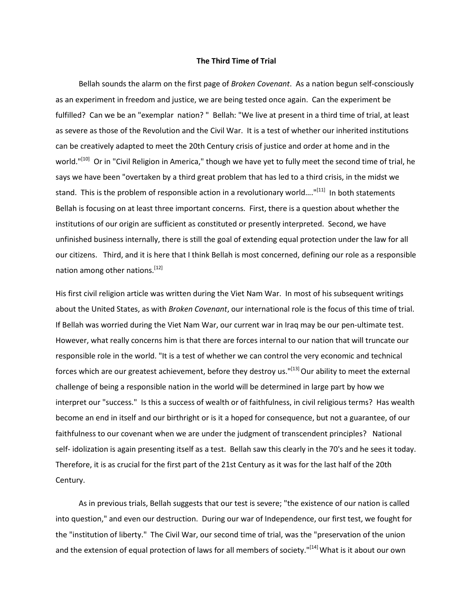#### **The Third Time of Trial**

 Bellah sounds the alarm on the first page of *Broken Covenant*. As a nation begun self-consciously as an experiment in freedom and justice, we are being tested once again. Can the experiment be fulfilled? Can we be an "exemplar nation? " Bellah: "We live at present in a third time of trial, at least as severe as those of the Revolution and the Civil War. It is a test of whether our inherited institutions can be creatively adapted to meet the 20th Century crisis of justice and order at home and in the world."<sup>[10]</sup> Or in "Civil Religion in America," though we have yet to fully meet the second time of trial, he says we have been "overtaken by a third great problem that has led to a third crisis, in the midst we stand. This is the problem of responsible action in a revolutionary world...."<sup>[11]</sup> In both statements Bellah is focusing on at least three important concerns. First, there is a question about whether the institutions of our origin are sufficient as constituted or presently interpreted. Second, we have unfinished business internally, there is still the goal of extending equal protection under the law for all our citizens. Third, and it is here that I think Bellah is most concerned, defining our role as a responsible nation among other nations.<sup>[12]</sup>

His first civil religion article was written during the Viet Nam War. In most of his subsequent writings about the United States, as with *Broken Covenant*, our international role is the focus of this time of trial. If Bellah was worried during the Viet Nam War, our current war in Iraq may be our pen-ultimate test. However, what really concerns him is that there are forces internal to our nation that will truncate our responsible role in the world. "It is a test of whether we can control the very economic and technical forces which are our greatest achievement, before they destroy us."[13] Our ability to meet the external challenge of being a responsible nation in the world will be determined in large part by how we interpret our "success." Is this a success of wealth or of faithfulness, in civil religious terms? Has wealth become an end in itself and our birthright or is it a hoped for consequence, but not a guarantee, of our faithfulness to our covenant when we are under the judgment of transcendent principles? National self- idolization is again presenting itself as a test. Bellah saw this clearly in the 70's and he sees it today. Therefore, it is as crucial for the first part of the 21st Century as it was for the last half of the 20th Century.

 As in previous trials, Bellah suggests that our test is severe; "the existence of our nation is called into question," and even our destruction. During our war of Independence, our first test, we fought for the "institution of liberty." The Civil War, our second time of trial, was the "preservation of the union and the extension of equal protection of laws for all members of society."<sup>[14]</sup> What is it about our own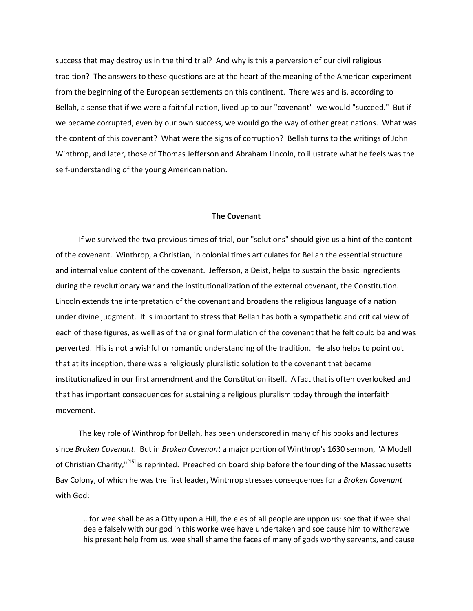success that may destroy us in the third trial? And why is this a perversion of our civil religious tradition? The answers to these questions are at the heart of the meaning of the American experiment from the beginning of the European settlements on this continent. There was and is, according to Bellah, a sense that if we were a faithful nation, lived up to our "covenant" we would "succeed." But if we became corrupted, even by our own success, we would go the way of other great nations. What was the content of this covenant? What were the signs of corruption? Bellah turns to the writings of John Winthrop, and later, those of Thomas Jefferson and Abraham Lincoln, to illustrate what he feels was the self-understanding of the young American nation.

#### **The Covenant**

 If we survived the two previous times of trial, our "solutions" should give us a hint of the content of the covenant. Winthrop, a Christian, in colonial times articulates for Bellah the essential structure and internal value content of the covenant. Jefferson, a Deist, helps to sustain the basic ingredients during the revolutionary war and the institutionalization of the external covenant, the Constitution. Lincoln extends the interpretation of the covenant and broadens the religious language of a nation under divine judgment. It is important to stress that Bellah has both a sympathetic and critical view of each of these figures, as well as of the original formulation of the covenant that he felt could be and was perverted. His is not a wishful or romantic understanding of the tradition. He also helps to point out that at its inception, there was a religiously pluralistic solution to the covenant that became institutionalized in our first amendment and the Constitution itself. A fact that is often overlooked and that has important consequences for sustaining a religious pluralism today through the interfaith movement.

 The key role of Winthrop for Bellah, has been underscored in many of his books and lectures since *Broken Covenant*. But in *Broken Covenant* a major portion of Winthrop's 1630 sermon, "A Modell of Christian Charity,"<sup>[15]</sup> is reprinted. Preached on board ship before the founding of the Massachusetts Bay Colony, of which he was the first leader, Winthrop stresses consequences for a *Broken Covenant* with God:

…for wee shall be as a Citty upon a Hill, the eies of all people are uppon us: soe that if wee shall deale falsely with our god in this worke wee have undertaken and soe cause him to withdrawe his present help from us, wee shall shame the faces of many of gods worthy servants, and cause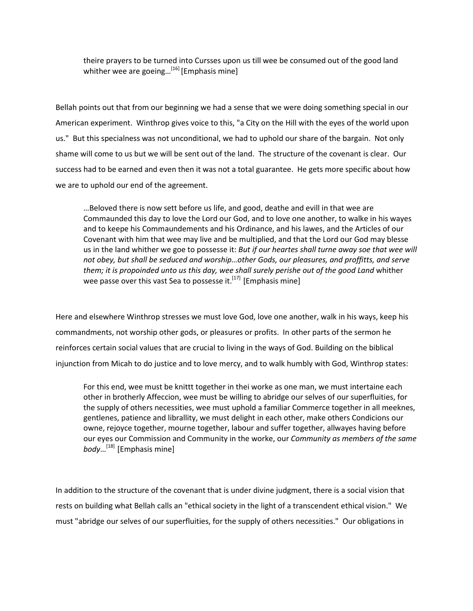theire prayers to be turned into Cursses upon us till wee be consumed out of the good land whither wee are goeing...<sup>[16]</sup> [Emphasis mine]

Bellah points out that from our beginning we had a sense that we were doing something special in our American experiment. Winthrop gives voice to this, "a City on the Hill with the eyes of the world upon us." But this specialness was not unconditional, we had to uphold our share of the bargain. Not only shame will come to us but we will be sent out of the land. The structure of the covenant is clear. Our success had to be earned and even then it was not a total guarantee. He gets more specific about how we are to uphold our end of the agreement.

…Beloved there is now sett before us life, and good, deathe and evill in that wee are Commaunded this day to love the Lord our God, and to love one another, to walke in his wayes and to keepe his Commaundements and his Ordinance, and his lawes, and the Articles of our Covenant with him that wee may live and be multiplied, and that the Lord our God may blesse us in the land whither we goe to possesse it: *But if our heartes shall turne away soe that wee will not obey, but shall be seduced and worship…other Gods, our pleasures, and proffitts, and serve them; it is propoinded unto us this day, wee shall surely perishe out of the good Land* whither wee passe over this vast Sea to possesse it.<sup>[17]</sup> [Emphasis mine]

Here and elsewhere Winthrop stresses we must love God, love one another, walk in his ways, keep his commandments, not worship other gods, or pleasures or profits. In other parts of the sermon he reinforces certain social values that are crucial to living in the ways of God. Building on the biblical injunction from Micah to do justice and to love mercy, and to walk humbly with God, Winthrop states:

For this end, wee must be knittt together in thei worke as one man, we must intertaine each other in brotherly Affeccion, wee must be willing to abridge our selves of our superfluities, for the supply of others necessities, wee must uphold a familiar Commerce together in all meeknes, gentlenes, patience and librallity, we must delight in each other, make others Condicions our owne, rejoyce together, mourne together, labour and suffer together, allwayes having before our eyes our Commission and Community in the worke, our *Community as members of the same body*…[18] [Emphasis mine]

In addition to the structure of the covenant that is under divine judgment, there is a social vision that rests on building what Bellah calls an "ethical society in the light of a transcendent ethical vision." We must "abridge our selves of our superfluities, for the supply of others necessities." Our obligations in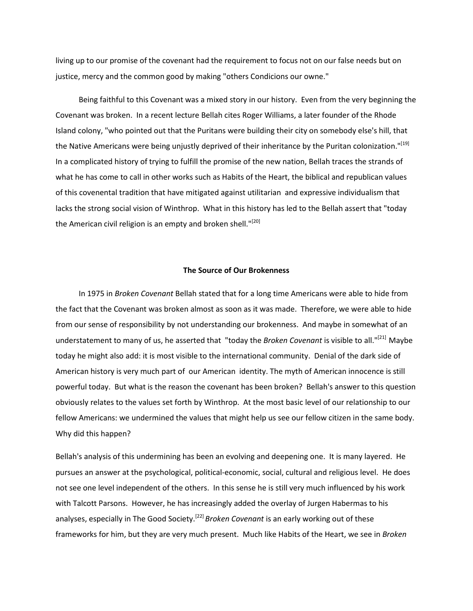living up to our promise of the covenant had the requirement to focus not on our false needs but on justice, mercy and the common good by making "others Condicions our owne."

 Being faithful to this Covenant was a mixed story in our history. Even from the very beginning the Covenant was broken. In a recent lecture Bellah cites Roger Williams, a later founder of the Rhode Island colony, "who pointed out that the Puritans were building their city on somebody else's hill, that the Native Americans were being unjustly deprived of their inheritance by the Puritan colonization."<sup>[19]</sup> In a complicated history of trying to fulfill the promise of the new nation, Bellah traces the strands of what he has come to call in other works such as Habits of the Heart, the biblical and republican values of this covenental tradition that have mitigated against utilitarian and expressive individualism that lacks the strong social vision of Winthrop. What in this history has led to the Bellah assert that "today the American civil religion is an empty and broken shell."<sup>[20]</sup>

#### **The Source of Our Brokenness**

 In 1975 in *Broken Covenant* Bellah stated that for a long time Americans were able to hide from the fact that the Covenant was broken almost as soon as it was made. Therefore, we were able to hide from our sense of responsibility by not understanding our brokenness. And maybe in somewhat of an understatement to many of us, he asserted that "today the *Broken Covenant* is visible to all."[21] Maybe today he might also add: it is most visible to the international community. Denial of the dark side of American history is very much part of our American identity. The myth of American innocence is still powerful today. But what is the reason the covenant has been broken? Bellah's answer to this question obviously relates to the values set forth by Winthrop. At the most basic level of our relationship to our fellow Americans: we undermined the values that might help us see our fellow citizen in the same body. Why did this happen?

Bellah's analysis of this undermining has been an evolving and deepening one. It is many layered. He pursues an answer at the psychological, political-economic, social, cultural and religious level. He does not see one level independent of the others. In this sense he is still very much influenced by his work with Talcott Parsons. However, he has increasingly added the overlay of Jurgen Habermas to his analyses, especially in The Good Society.<sup>[22]</sup> *Broken Covenant* is an early working out of these frameworks for him, but they are very much present. Much like Habits of the Heart, we see in *Broken*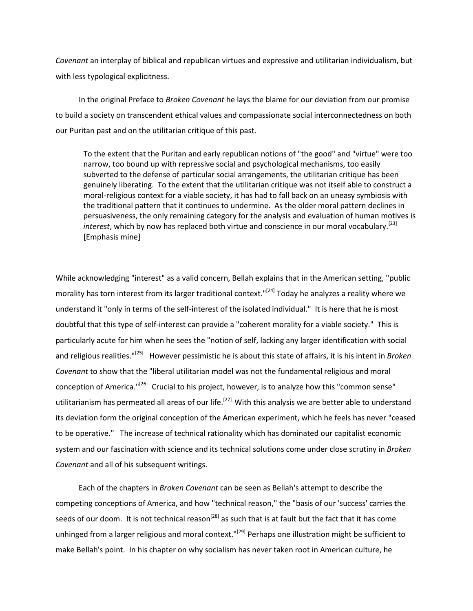*Covenant* an interplay of biblical and republican virtues and expressive and utilitarian individualism, but with less typological explicitness.

 In the original Preface to *Broken Covenant* he lays the blame for our deviation from our promise to build a society on transcendent ethical values and compassionate social interconnectedness on both our Puritan past and on the utilitarian critique of this past.

To the extent that the Puritan and early republican notions of "the good" and "virtue" were too narrow, too bound up with repressive social and psychological mechanisms, too easily subverted to the defense of particular social arrangements, the utilitarian critique has been genuinely liberating. To the extent that the utilitarian critique was not itself able to construct a moral-religious context for a viable society, it has had to fall back on an uneasy symbiosis with the traditional pattern that it continues to undermine. As the older moral pattern declines in persuasiveness, the only remaining category for the analysis and evaluation of human motives is interest, which by now has replaced both virtue and conscience in our moral vocabulary.<sup>[23]</sup> [Emphasis mine]

While acknowledging "interest" as a valid concern, Bellah explains that in the American setting, "public morality has torn interest from its larger traditional context."<sup>[24]</sup> Today he analyzes a reality where we understand it "only in terms of the self-interest of the isolated individual." It is here that he is most doubtful that this type of self-interest can provide a "coherent morality for a viable society." This is particularly acute for him when he sees the "notion of self, lacking any larger identification with social and religious realities."[25] However pessimistic he is about this state of affairs, it is his intent in *Broken Covenant* to show that the "liberal utilitarian model was not the fundamental religious and moral conception of America."[26] Crucial to his project, however, is to analyze how this "common sense" utilitarianism has permeated all areas of our life.<sup>[27]</sup> With this analysis we are better able to understand its deviation form the original conception of the American experiment, which he feels has never "ceased to be operative." The increase of technical rationality which has dominated our capitalist economic system and our fascination with science and its technical solutions come under close scrutiny in *Broken Covenant* and all of his subsequent writings.

 Each of the chapters in *Broken Covenant* can be seen as Bellah's attempt to describe the competing conceptions of America, and how "technical reason," the "basis of our 'success' carries the seeds of our doom. It is not technical reason<sup>[28]</sup> as such that is at fault but the fact that it has come unhinged from a larger religious and moral context."<sup>[29]</sup> Perhaps one illustration might be sufficient to make Bellah's point. In his chapter on why socialism has never taken root in American culture, he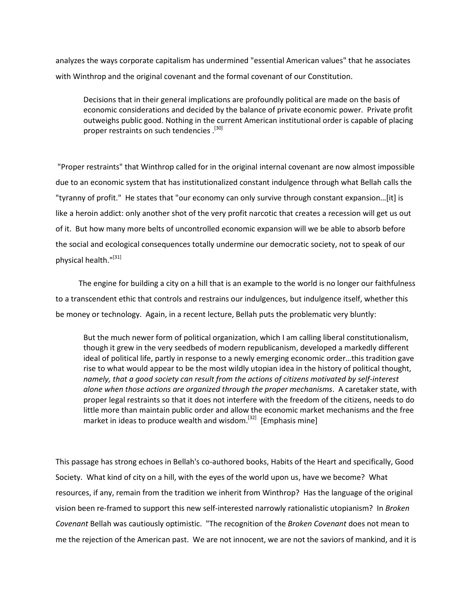analyzes the ways corporate capitalism has undermined "essential American values" that he associates with Winthrop and the original covenant and the formal covenant of our Constitution.

Decisions that in their general implications are profoundly political are made on the basis of economic considerations and decided by the balance of private economic power. Private profit outweighs public good. Nothing in the current American institutional order is capable of placing proper restraints on such tendencies .<sup>[30]</sup>

"Proper restraints" that Winthrop called for in the original internal covenant are now almost impossible due to an economic system that has institutionalized constant indulgence through what Bellah calls the "tyranny of profit." He states that "our economy can only survive through constant expansion…[it] is like a heroin addict: only another shot of the very profit narcotic that creates a recession will get us out of it. But how many more belts of uncontrolled economic expansion will we be able to absorb before the social and ecological consequences totally undermine our democratic society, not to speak of our physical health."[31]

 The engine for building a city on a hill that is an example to the world is no longer our faithfulness to a transcendent ethic that controls and restrains our indulgences, but indulgence itself, whether this be money or technology. Again, in a recent lecture, Bellah puts the problematic very bluntly:

But the much newer form of political organization, which I am calling liberal constitutionalism, though it grew in the very seedbeds of modern republicanism, developed a markedly different ideal of political life, partly in response to a newly emerging economic order…this tradition gave rise to what would appear to be the most wildly utopian idea in the history of political thought, *namely, that a good society can result from the actions of citizens motivated by self-interest alone when those actions are organized through the proper mechanisms*. A caretaker state, with proper legal restraints so that it does not interfere with the freedom of the citizens, needs to do little more than maintain public order and allow the economic market mechanisms and the free market in ideas to produce wealth and wisdom.<sup>[32]</sup> [Emphasis mine]

This passage has strong echoes in Bellah's co-authored books, Habits of the Heart and specifically, Good Society. What kind of city on a hill, with the eyes of the world upon us, have we become? What resources, if any, remain from the tradition we inherit from Winthrop? Has the language of the original vision been re-framed to support this new self-interested narrowly rationalistic utopianism? In *Broken Covenant* Bellah was cautiously optimistic. "The recognition of the *Broken Covenant* does not mean to me the rejection of the American past. We are not innocent, we are not the saviors of mankind, and it is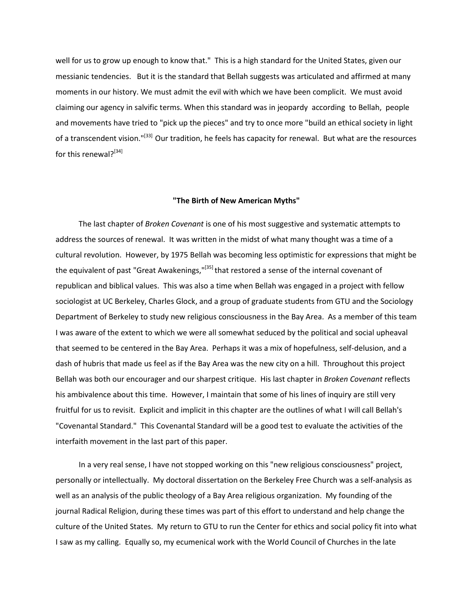well for us to grow up enough to know that." This is a high standard for the United States, given our messianic tendencies. But it is the standard that Bellah suggests was articulated and affirmed at many moments in our history. We must admit the evil with which we have been complicit. We must avoid claiming our agency in salvific terms. When this standard was in jeopardy according to Bellah, people and movements have tried to "pick up the pieces" and try to once more "build an ethical society in light of a transcendent vision."<sup>[33]</sup> Our tradition, he feels has capacity for renewal. But what are the resources for this renewal?<sup>[34]</sup>

#### **"The Birth of New American Myths"**

 The last chapter of *Broken Covenant* is one of his most suggestive and systematic attempts to address the sources of renewal. It was written in the midst of what many thought was a time of a cultural revolution. However, by 1975 Bellah was becoming less optimistic for expressions that might be the equivalent of past "Great Awakenings,"<sup>[35]</sup> that restored a sense of the internal covenant of republican and biblical values. This was also a time when Bellah was engaged in a project with fellow sociologist at UC Berkeley, Charles Glock, and a group of graduate students from GTU and the Sociology Department of Berkeley to study new religious consciousness in the Bay Area. As a member of this team I was aware of the extent to which we were all somewhat seduced by the political and social upheaval that seemed to be centered in the Bay Area. Perhaps it was a mix of hopefulness, self-delusion, and a dash of hubris that made us feel as if the Bay Area was the new city on a hill. Throughout this project Bellah was both our encourager and our sharpest critique. His last chapter in *Broken Covenant* reflects his ambivalence about this time. However, I maintain that some of his lines of inquiry are still very fruitful for us to revisit. Explicit and implicit in this chapter are the outlines of what I will call Bellah's "Covenantal Standard." This Covenantal Standard will be a good test to evaluate the activities of the interfaith movement in the last part of this paper.

 In a very real sense, I have not stopped working on this "new religious consciousness" project, personally or intellectually. My doctoral dissertation on the Berkeley Free Church was a self-analysis as well as an analysis of the public theology of a Bay Area religious organization. My founding of the journal Radical Religion, during these times was part of this effort to understand and help change the culture of the United States. My return to GTU to run the Center for ethics and social policy fit into what I saw as my calling. Equally so, my ecumenical work with the World Council of Churches in the late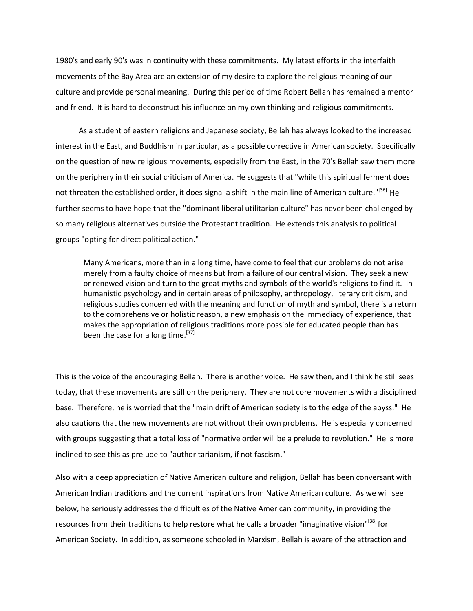1980's and early 90's was in continuity with these commitments. My latest efforts in the interfaith movements of the Bay Area are an extension of my desire to explore the religious meaning of our culture and provide personal meaning. During this period of time Robert Bellah has remained a mentor and friend. It is hard to deconstruct his influence on my own thinking and religious commitments.

 As a student of eastern religions and Japanese society, Bellah has always looked to the increased interest in the East, and Buddhism in particular, as a possible corrective in American society. Specifically on the question of new religious movements, especially from the East, in the 70's Bellah saw them more on the periphery in their social criticism of America. He suggests that "while this spiritual ferment does not threaten the established order, it does signal a shift in the main line of American culture."<sup>[36]</sup> He further seems to have hope that the "dominant liberal utilitarian culture" has never been challenged by so many religious alternatives outside the Protestant tradition. He extends this analysis to political groups "opting for direct political action."

Many Americans, more than in a long time, have come to feel that our problems do not arise merely from a faulty choice of means but from a failure of our central vision. They seek a new or renewed vision and turn to the great myths and symbols of the world's religions to find it. In humanistic psychology and in certain areas of philosophy, anthropology, literary criticism, and religious studies concerned with the meaning and function of myth and symbol, there is a return to the comprehensive or holistic reason, a new emphasis on the immediacy of experience, that makes the appropriation of religious traditions more possible for educated people than has been the case for a long time.<sup>[37]</sup>

This is the voice of the encouraging Bellah. There is another voice. He saw then, and I think he still sees today, that these movements are still on the periphery. They are not core movements with a disciplined base. Therefore, he is worried that the "main drift of American society is to the edge of the abyss." He also cautions that the new movements are not without their own problems. He is especially concerned with groups suggesting that a total loss of "normative order will be a prelude to revolution." He is more inclined to see this as prelude to "authoritarianism, if not fascism."

Also with a deep appreciation of Native American culture and religion, Bellah has been conversant with American Indian traditions and the current inspirations from Native American culture. As we will see below, he seriously addresses the difficulties of the Native American community, in providing the resources from their traditions to help restore what he calls a broader "imaginative vision"<sup>[38]</sup> for American Society. In addition, as someone schooled in Marxism, Bellah is aware of the attraction and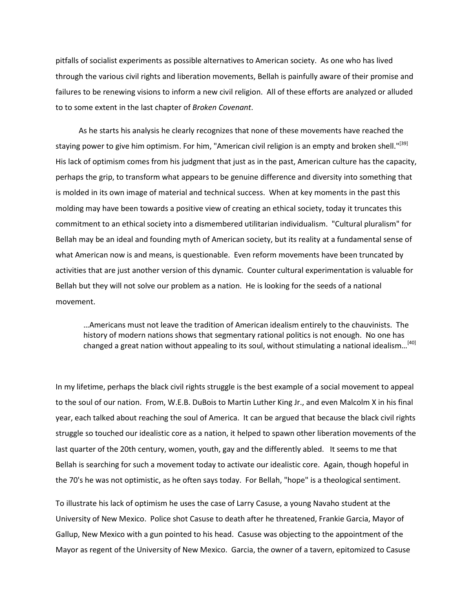pitfalls of socialist experiments as possible alternatives to American society. As one who has lived through the various civil rights and liberation movements, Bellah is painfully aware of their promise and failures to be renewing visions to inform a new civil religion. All of these efforts are analyzed or alluded to to some extent in the last chapter of *Broken Covenant*.

 As he starts his analysis he clearly recognizes that none of these movements have reached the staying power to give him optimism. For him, "American civil religion is an empty and broken shell."<sup>[39]</sup> His lack of optimism comes from his judgment that just as in the past, American culture has the capacity, perhaps the grip, to transform what appears to be genuine difference and diversity into something that is molded in its own image of material and technical success. When at key moments in the past this molding may have been towards a positive view of creating an ethical society, today it truncates this commitment to an ethical society into a dismembered utilitarian individualism. "Cultural pluralism" for Bellah may be an ideal and founding myth of American society, but its reality at a fundamental sense of what American now is and means, is questionable. Even reform movements have been truncated by activities that are just another version of this dynamic. Counter cultural experimentation is valuable for Bellah but they will not solve our problem as a nation. He is looking for the seeds of a national movement.

…Americans must not leave the tradition of American idealism entirely to the chauvinists. The history of modern nations shows that segmentary rational politics is not enough. No one has changed a great nation without appealing to its soul, without stimulating a national idealism...<sup>[40]</sup>

In my lifetime, perhaps the black civil rights struggle is the best example of a social movement to appeal to the soul of our nation. From, W.E.B. DuBois to Martin Luther King Jr., and even Malcolm X in his final year, each talked about reaching the soul of America. It can be argued that because the black civil rights struggle so touched our idealistic core as a nation, it helped to spawn other liberation movements of the last quarter of the 20th century, women, youth, gay and the differently abled. It seems to me that Bellah is searching for such a movement today to activate our idealistic core. Again, though hopeful in the 70's he was not optimistic, as he often says today. For Bellah, "hope" is a theological sentiment.

To illustrate his lack of optimism he uses the case of Larry Casuse, a young Navaho student at the University of New Mexico. Police shot Casuse to death after he threatened, Frankie Garcia, Mayor of Gallup, New Mexico with a gun pointed to his head. Casuse was objecting to the appointment of the Mayor as regent of the University of New Mexico. Garcia, the owner of a tavern, epitomized to Casuse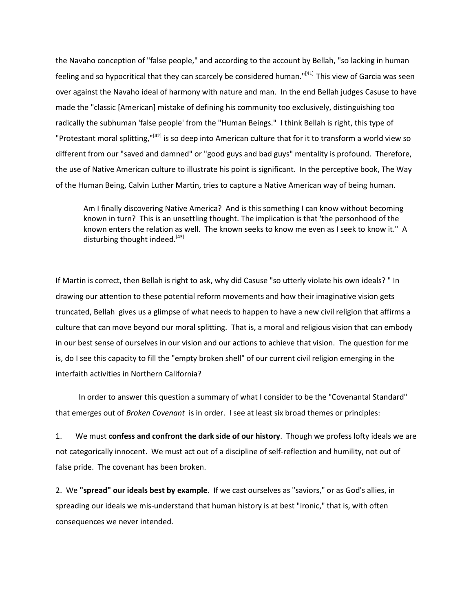the Navaho conception of "false people," and according to the account by Bellah, "so lacking in human feeling and so hypocritical that they can scarcely be considered human."<sup>[41]</sup> This view of Garcia was seen over against the Navaho ideal of harmony with nature and man. In the end Bellah judges Casuse to have made the "classic [American] mistake of defining his community too exclusively, distinguishing too radically the subhuman 'false people' from the "Human Beings." I think Bellah is right, this type of "Protestant moral splitting,"<sup>[42]</sup> is so deep into American culture that for it to transform a world view so different from our "saved and damned" or "good guys and bad guys" mentality is profound. Therefore, the use of Native American culture to illustrate his point is significant. In the perceptive book, The Way of the Human Being, Calvin Luther Martin, tries to capture a Native American way of being human.

Am I finally discovering Native America? And is this something I can know without becoming known in turn? This is an unsettling thought. The implication is that 'the personhood of the known enters the relation as well. The known seeks to know me even as I seek to know it." A disturbing thought indeed.<sup>[43]</sup>

If Martin is correct, then Bellah is right to ask, why did Casuse "so utterly violate his own ideals? " In drawing our attention to these potential reform movements and how their imaginative vision gets truncated, Bellah gives us a glimpse of what needs to happen to have a new civil religion that affirms a culture that can move beyond our moral splitting. That is, a moral and religious vision that can embody in our best sense of ourselves in our vision and our actions to achieve that vision. The question for me is, do I see this capacity to fill the "empty broken shell" of our current civil religion emerging in the interfaith activities in Northern California?

 In order to answer this question a summary of what I consider to be the "Covenantal Standard" that emerges out of *Broken Covenant* is in order. I see at least six broad themes or principles:

1. We must **confess and confront the dark side of our history**. Though we profess lofty ideals we are not categorically innocent. We must act out of a discipline of self-reflection and humility, not out of false pride. The covenant has been broken.

2. We **"spread" our ideals best by example**. If we cast ourselves as "saviors," or as God's allies, in spreading our ideals we mis-understand that human history is at best "ironic," that is, with often consequences we never intended.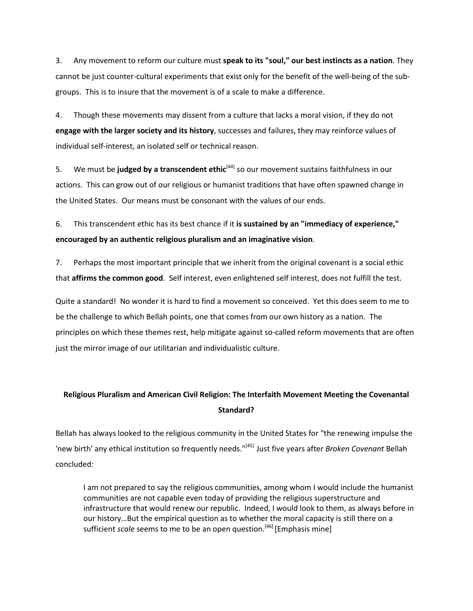3. Any movement to reform our culture must **speak to its "soul," our best instincts as a nation**. They cannot be just counter-cultural experiments that exist only for the benefit of the well-being of the subgroups. This is to insure that the movement is of a scale to make a difference.

4. Though these movements may dissent from a culture that lacks a moral vision, if they do not **engage with the larger society and its history**, successes and failures, they may reinforce values of individual self-interest, an isolated self or technical reason.

5. We must be **judged by a transcendent ethic**<sup>[44]</sup> so our movement sustains faithfulness in our actions. This can grow out of our religious or humanist traditions that have often spawned change in the United States. Our means must be consonant with the values of our ends.

6. This transcendent ethic has its best chance if it **is sustained by an "immediacy of experience," encouraged by an authentic religious pluralism and an imaginative vision**.

7. Perhaps the most important principle that we inherit from the original covenant is a social ethic that **affirms the common good**. Self interest, even enlightened self interest, does not fulfill the test.

Quite a standard! No wonder it is hard to find a movement so conceived. Yet this does seem to me to be the challenge to which Bellah points, one that comes from our own history as a nation. The principles on which these themes rest, help mitigate against so-called reform movements that are often just the mirror image of our utilitarian and individualistic culture.

# **Religious Pluralism and American Civil Religion: The Interfaith Movement Meeting the Covenantal Standard?**

Bellah has always looked to the religious community in the United States for "the renewing impulse the 'new birth' any ethical institution so frequently needs."[45] Just five years after *Broken Covenant* Bellah concluded:

I am not prepared to say the religious communities, among whom I would include the humanist communities are not capable even today of providing the religious superstructure and infrastructure that would renew our republic. Indeed, I would look to them, as always before in our history…But the empirical question as to whether the moral capacity is still there on a sufficient *scale* seems to me to be an open question.<sup>[46]</sup> [Emphasis mine]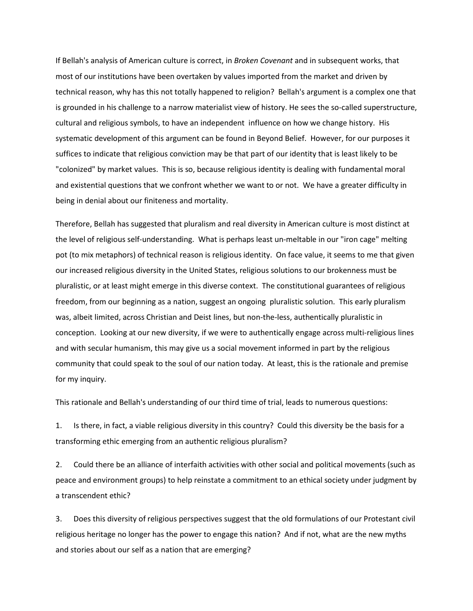If Bellah's analysis of American culture is correct, in *Broken Covenant* and in subsequent works, that most of our institutions have been overtaken by values imported from the market and driven by technical reason, why has this not totally happened to religion? Bellah's argument is a complex one that is grounded in his challenge to a narrow materialist view of history. He sees the so-called superstructure, cultural and religious symbols, to have an independent influence on how we change history. His systematic development of this argument can be found in Beyond Belief. However, for our purposes it suffices to indicate that religious conviction may be that part of our identity that is least likely to be "colonized" by market values. This is so, because religious identity is dealing with fundamental moral and existential questions that we confront whether we want to or not. We have a greater difficulty in being in denial about our finiteness and mortality.

Therefore, Bellah has suggested that pluralism and real diversity in American culture is most distinct at the level of religious self-understanding. What is perhaps least un-meltable in our "iron cage" melting pot (to mix metaphors) of technical reason is religious identity. On face value, it seems to me that given our increased religious diversity in the United States, religious solutions to our brokenness must be pluralistic, or at least might emerge in this diverse context. The constitutional guarantees of religious freedom, from our beginning as a nation, suggest an ongoing pluralistic solution. This early pluralism was, albeit limited, across Christian and Deist lines, but non-the-less, authentically pluralistic in conception. Looking at our new diversity, if we were to authentically engage across multi-religious lines and with secular humanism, this may give us a social movement informed in part by the religious community that could speak to the soul of our nation today. At least, this is the rationale and premise for my inquiry.

This rationale and Bellah's understanding of our third time of trial, leads to numerous questions:

1. Is there, in fact, a viable religious diversity in this country? Could this diversity be the basis for a transforming ethic emerging from an authentic religious pluralism?

2. Could there be an alliance of interfaith activities with other social and political movements (such as peace and environment groups) to help reinstate a commitment to an ethical society under judgment by a transcendent ethic?

3. Does this diversity of religious perspectives suggest that the old formulations of our Protestant civil religious heritage no longer has the power to engage this nation? And if not, what are the new myths and stories about our self as a nation that are emerging?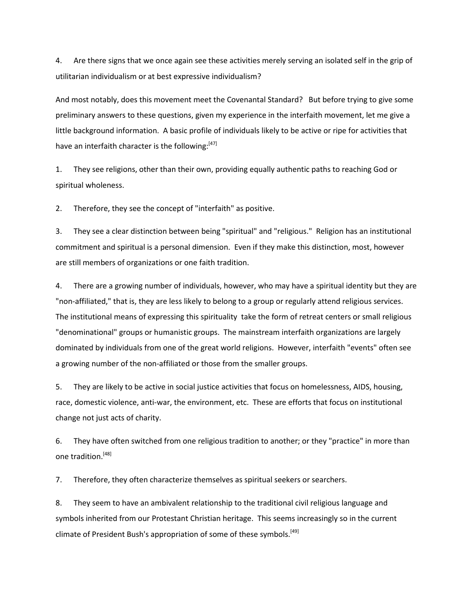4. Are there signs that we once again see these activities merely serving an isolated self in the grip of utilitarian individualism or at best expressive individualism?

And most notably, does this movement meet the Covenantal Standard? But before trying to give some preliminary answers to these questions, given my experience in the interfaith movement, let me give a little background information. A basic profile of individuals likely to be active or ripe for activities that have an interfaith character is the following:<sup>[47]</sup>

1. They see religions, other than their own, providing equally authentic paths to reaching God or spiritual wholeness.

2. Therefore, they see the concept of "interfaith" as positive.

3. They see a clear distinction between being "spiritual" and "religious." Religion has an institutional commitment and spiritual is a personal dimension. Even if they make this distinction, most, however are still members of organizations or one faith tradition.

4. There are a growing number of individuals, however, who may have a spiritual identity but they are "non-affiliated," that is, they are less likely to belong to a group or regularly attend religious services. The institutional means of expressing this spirituality take the form of retreat centers or small religious "denominational" groups or humanistic groups. The mainstream interfaith organizations are largely dominated by individuals from one of the great world religions. However, interfaith "events" often see a growing number of the non-affiliated or those from the smaller groups.

5. They are likely to be active in social justice activities that focus on homelessness, AIDS, housing, race, domestic violence, anti-war, the environment, etc. These are efforts that focus on institutional change not just acts of charity.

6. They have often switched from one religious tradition to another; or they "practice" in more than one tradition.[48]

7. Therefore, they often characterize themselves as spiritual seekers or searchers.

8. They seem to have an ambivalent relationship to the traditional civil religious language and symbols inherited from our Protestant Christian heritage. This seems increasingly so in the current climate of President Bush's appropriation of some of these symbols.<sup>[49]</sup>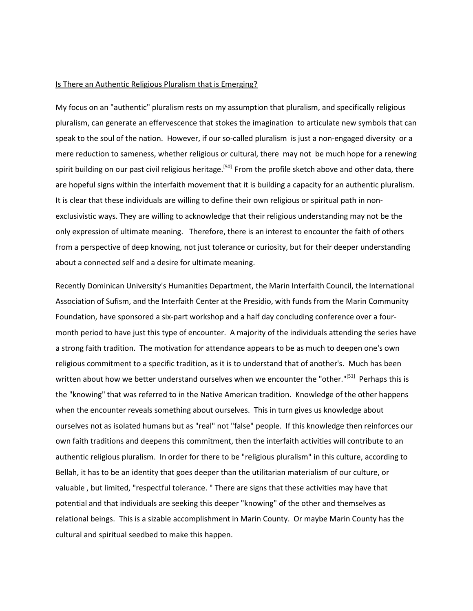#### Is There an Authentic Religious Pluralism that is Emerging?

My focus on an "authentic" pluralism rests on my assumption that pluralism, and specifically religious pluralism, can generate an effervescence that stokes the imagination to articulate new symbols that can speak to the soul of the nation. However, if our so-called pluralism is just a non-engaged diversity or a mere reduction to sameness, whether religious or cultural, there may not be much hope for a renewing spirit building on our past civil religious heritage.<sup>[50]</sup> From the profile sketch above and other data, there are hopeful signs within the interfaith movement that it is building a capacity for an authentic pluralism. It is clear that these individuals are willing to define their own religious or spiritual path in nonexclusivistic ways. They are willing to acknowledge that their religious understanding may not be the only expression of ultimate meaning. Therefore, there is an interest to encounter the faith of others from a perspective of deep knowing, not just tolerance or curiosity, but for their deeper understanding about a connected self and a desire for ultimate meaning.

Recently Dominican University's Humanities Department, the Marin Interfaith Council, the International Association of Sufism, and the Interfaith Center at the Presidio, with funds from the Marin Community Foundation, have sponsored a six-part workshop and a half day concluding conference over a fourmonth period to have just this type of encounter. A majority of the individuals attending the series have a strong faith tradition. The motivation for attendance appears to be as much to deepen one's own religious commitment to a specific tradition, as it is to understand that of another's. Much has been written about how we better understand ourselves when we encounter the "other."<sup>[51]</sup> Perhaps this is the "knowing" that was referred to in the Native American tradition. Knowledge of the other happens when the encounter reveals something about ourselves. This in turn gives us knowledge about ourselves not as isolated humans but as "real" not "false" people. If this knowledge then reinforces our own faith traditions and deepens this commitment, then the interfaith activities will contribute to an authentic religious pluralism. In order for there to be "religious pluralism" in this culture, according to Bellah, it has to be an identity that goes deeper than the utilitarian materialism of our culture, or valuable , but limited, "respectful tolerance. " There are signs that these activities may have that potential and that individuals are seeking this deeper "knowing" of the other and themselves as relational beings. This is a sizable accomplishment in Marin County. Or maybe Marin County has the cultural and spiritual seedbed to make this happen.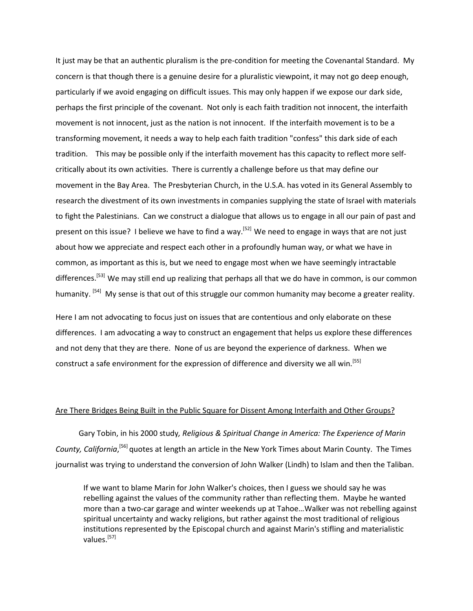It just may be that an authentic pluralism is the pre-condition for meeting the Covenantal Standard. My concern is that though there is a genuine desire for a pluralistic viewpoint, it may not go deep enough, particularly if we avoid engaging on difficult issues. This may only happen if we expose our dark side, perhaps the first principle of the covenant. Not only is each faith tradition not innocent, the interfaith movement is not innocent, just as the nation is not innocent. If the interfaith movement is to be a transforming movement, it needs a way to help each faith tradition "confess" this dark side of each tradition. This may be possible only if the interfaith movement has this capacity to reflect more selfcritically about its own activities. There is currently a challenge before us that may define our movement in the Bay Area. The Presbyterian Church, in the U.S.A. has voted in its General Assembly to research the divestment of its own investments in companies supplying the state of Israel with materials to fight the Palestinians. Can we construct a dialogue that allows us to engage in all our pain of past and present on this issue? I believe we have to find a way.<sup>[52]</sup> We need to engage in ways that are not just about how we appreciate and respect each other in a profoundly human way, or what we have in common, as important as this is, but we need to engage most when we have seemingly intractable differences.<sup>[53]</sup> We may still end up realizing that perhaps all that we do have in common, is our common humanity. <sup>[54]</sup> My sense is that out of this struggle our common humanity may become a greater reality.

Here I am not advocating to focus just on issues that are contentious and only elaborate on these differences. I am advocating a way to construct an engagement that helps us explore these differences and not deny that they are there. None of us are beyond the experience of darkness. When we construct a safe environment for the expression of difference and diversity we all win.<sup>[55]</sup>

#### Are There Bridges Being Built in the Public Square for Dissent Among Interfaith and Other Groups?

 Gary Tobin, in his 2000 study*, Religious & Spiritual Change in America: The Experience of Marin*  County, California,<sup>[56]</sup> quotes at length an article in the New York Times about Marin County. The Times journalist was trying to understand the conversion of John Walker (Lindh) to Islam and then the Taliban.

If we want to blame Marin for John Walker's choices, then I guess we should say he was rebelling against the values of the community rather than reflecting them. Maybe he wanted more than a two-car garage and winter weekends up at Tahoe…Walker was not rebelling against spiritual uncertainty and wacky religions, but rather against the most traditional of religious institutions represented by the Episcopal church and against Marin's stifling and materialistic values.[57]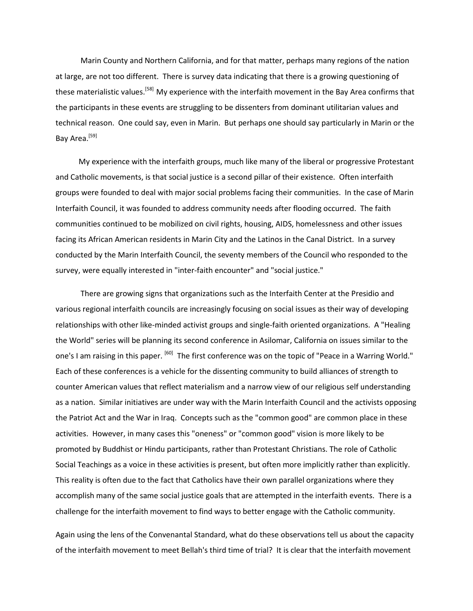Marin County and Northern California, and for that matter, perhaps many regions of the nation at large, are not too different. There is survey data indicating that there is a growing questioning of these materialistic values.<sup>[58]</sup> My experience with the interfaith movement in the Bay Area confirms that the participants in these events are struggling to be dissenters from dominant utilitarian values and technical reason. One could say, even in Marin. But perhaps one should say particularly in Marin or the Bay Area.<sup>[59]</sup>

 My experience with the interfaith groups, much like many of the liberal or progressive Protestant and Catholic movements, is that social justice is a second pillar of their existence. Often interfaith groups were founded to deal with major social problems facing their communities. In the case of Marin Interfaith Council, it was founded to address community needs after flooding occurred. The faith communities continued to be mobilized on civil rights, housing, AIDS, homelessness and other issues facing its African American residents in Marin City and the Latinos in the Canal District. In a survey conducted by the Marin Interfaith Council, the seventy members of the Council who responded to the survey, were equally interested in "inter-faith encounter" and "social justice."

 There are growing signs that organizations such as the Interfaith Center at the Presidio and various regional interfaith councils are increasingly focusing on social issues as their way of developing relationships with other like-minded activist groups and single-faith oriented organizations. A "Healing the World" series will be planning its second conference in Asilomar, California on issues similar to the one's I am raising in this paper. <sup>[60]</sup> The first conference was on the topic of "Peace in a Warring World." Each of these conferences is a vehicle for the dissenting community to build alliances of strength to counter American values that reflect materialism and a narrow view of our religious self understanding as a nation. Similar initiatives are under way with the Marin Interfaith Council and the activists opposing the Patriot Act and the War in Iraq. Concepts such as the "common good" are common place in these activities. However, in many cases this "oneness" or "common good" vision is more likely to be promoted by Buddhist or Hindu participants, rather than Protestant Christians. The role of Catholic Social Teachings as a voice in these activities is present, but often more implicitly rather than explicitly. This reality is often due to the fact that Catholics have their own parallel organizations where they accomplish many of the same social justice goals that are attempted in the interfaith events. There is a challenge for the interfaith movement to find ways to better engage with the Catholic community.

Again using the lens of the Convenantal Standard, what do these observations tell us about the capacity of the interfaith movement to meet Bellah's third time of trial? It is clear that the interfaith movement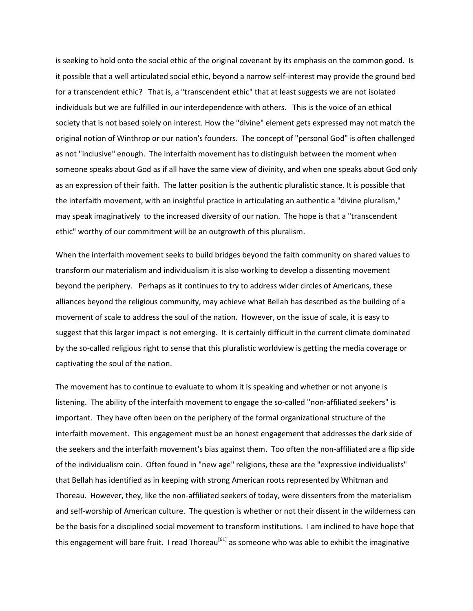is seeking to hold onto the social ethic of the original covenant by its emphasis on the common good. Is it possible that a well articulated social ethic, beyond a narrow self-interest may provide the ground bed for a transcendent ethic? That is, a "transcendent ethic" that at least suggests we are not isolated individuals but we are fulfilled in our interdependence with others. This is the voice of an ethical society that is not based solely on interest. How the "divine" element gets expressed may not match the original notion of Winthrop or our nation's founders. The concept of "personal God" is often challenged as not "inclusive" enough. The interfaith movement has to distinguish between the moment when someone speaks about God as if all have the same view of divinity, and when one speaks about God only as an expression of their faith. The latter position is the authentic pluralistic stance. It is possible that the interfaith movement, with an insightful practice in articulating an authentic a "divine pluralism," may speak imaginatively to the increased diversity of our nation. The hope is that a "transcendent ethic" worthy of our commitment will be an outgrowth of this pluralism.

When the interfaith movement seeks to build bridges beyond the faith community on shared values to transform our materialism and individualism it is also working to develop a dissenting movement beyond the periphery. Perhaps as it continues to try to address wider circles of Americans, these alliances beyond the religious community, may achieve what Bellah has described as the building of a movement of scale to address the soul of the nation. However, on the issue of scale, it is easy to suggest that this larger impact is not emerging. It is certainly difficult in the current climate dominated by the so-called religious right to sense that this pluralistic worldview is getting the media coverage or captivating the soul of the nation.

The movement has to continue to evaluate to whom it is speaking and whether or not anyone is listening. The ability of the interfaith movement to engage the so-called "non-affiliated seekers" is important. They have often been on the periphery of the formal organizational structure of the interfaith movement. This engagement must be an honest engagement that addresses the dark side of the seekers and the interfaith movement's bias against them. Too often the non-affiliated are a flip side of the individualism coin. Often found in "new age" religions, these are the "expressive individualists" that Bellah has identified as in keeping with strong American roots represented by Whitman and Thoreau. However, they, like the non-affiliated seekers of today, were dissenters from the materialism and self-worship of American culture. The question is whether or not their dissent in the wilderness can be the basis for a disciplined social movement to transform institutions. I am inclined to have hope that this engagement will bare fruit. I read Thoreau<sup>[61]</sup> as someone who was able to exhibit the imaginative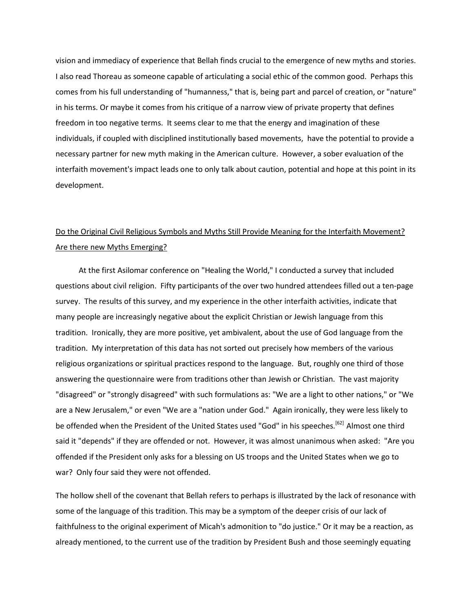vision and immediacy of experience that Bellah finds crucial to the emergence of new myths and stories. I also read Thoreau as someone capable of articulating a social ethic of the common good. Perhaps this comes from his full understanding of "humanness," that is, being part and parcel of creation, or "nature" in his terms. Or maybe it comes from his critique of a narrow view of private property that defines freedom in too negative terms. It seems clear to me that the energy and imagination of these individuals, if coupled with disciplined institutionally based movements, have the potential to provide a necessary partner for new myth making in the American culture. However, a sober evaluation of the interfaith movement's impact leads one to only talk about caution, potential and hope at this point in its development.

# Do the Original Civil Religious Symbols and Myths Still Provide Meaning for the Interfaith Movement? Are there new Myths Emerging?

 At the first Asilomar conference on "Healing the World," I conducted a survey that included questions about civil religion. Fifty participants of the over two hundred attendees filled out a ten-page survey. The results of this survey, and my experience in the other interfaith activities, indicate that many people are increasingly negative about the explicit Christian or Jewish language from this tradition. Ironically, they are more positive, yet ambivalent, about the use of God language from the tradition. My interpretation of this data has not sorted out precisely how members of the various religious organizations or spiritual practices respond to the language. But, roughly one third of those answering the questionnaire were from traditions other than Jewish or Christian. The vast majority "disagreed" or "strongly disagreed" with such formulations as: "We are a light to other nations," or "We are a New Jerusalem," or even "We are a "nation under God." Again ironically, they were less likely to be offended when the President of the United States used "God" in his speeches.<sup>[62]</sup> Almost one third said it "depends" if they are offended or not. However, it was almost unanimous when asked: "Are you offended if the President only asks for a blessing on US troops and the United States when we go to war? Only four said they were not offended.

The hollow shell of the covenant that Bellah refers to perhaps is illustrated by the lack of resonance with some of the language of this tradition. This may be a symptom of the deeper crisis of our lack of faithfulness to the original experiment of Micah's admonition to "do justice." Or it may be a reaction, as already mentioned, to the current use of the tradition by President Bush and those seemingly equating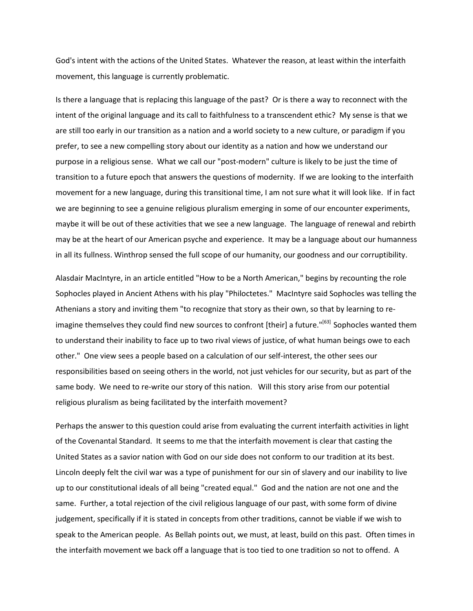God's intent with the actions of the United States. Whatever the reason, at least within the interfaith movement, this language is currently problematic.

Is there a language that is replacing this language of the past? Or is there a way to reconnect with the intent of the original language and its call to faithfulness to a transcendent ethic? My sense is that we are still too early in our transition as a nation and a world society to a new culture, or paradigm if you prefer, to see a new compelling story about our identity as a nation and how we understand our purpose in a religious sense. What we call our "post-modern" culture is likely to be just the time of transition to a future epoch that answers the questions of modernity. If we are looking to the interfaith movement for a new language, during this transitional time, I am not sure what it will look like. If in fact we are beginning to see a genuine religious pluralism emerging in some of our encounter experiments, maybe it will be out of these activities that we see a new language. The language of renewal and rebirth may be at the heart of our American psyche and experience. It may be a language about our humanness in all its fullness. Winthrop sensed the full scope of our humanity, our goodness and our corruptibility.

Alasdair MacIntyre, in an article entitled "How to be a North American," begins by recounting the role Sophocles played in Ancient Athens with his play "Philoctetes." MacIntyre said Sophocles was telling the Athenians a story and inviting them "to recognize that story as their own, so that by learning to reimagine themselves they could find new sources to confront [their] a future."<sup>[63]</sup> Sophocles wanted them to understand their inability to face up to two rival views of justice, of what human beings owe to each other." One view sees a people based on a calculation of our self-interest, the other sees our responsibilities based on seeing others in the world, not just vehicles for our security, but as part of the same body. We need to re-write our story of this nation. Will this story arise from our potential religious pluralism as being facilitated by the interfaith movement?

Perhaps the answer to this question could arise from evaluating the current interfaith activities in light of the Covenantal Standard. It seems to me that the interfaith movement is clear that casting the United States as a savior nation with God on our side does not conform to our tradition at its best. Lincoln deeply felt the civil war was a type of punishment for our sin of slavery and our inability to live up to our constitutional ideals of all being "created equal." God and the nation are not one and the same. Further, a total rejection of the civil religious language of our past, with some form of divine judgement, specifically if it is stated in concepts from other traditions, cannot be viable if we wish to speak to the American people. As Bellah points out, we must, at least, build on this past. Often times in the interfaith movement we back off a language that is too tied to one tradition so not to offend. A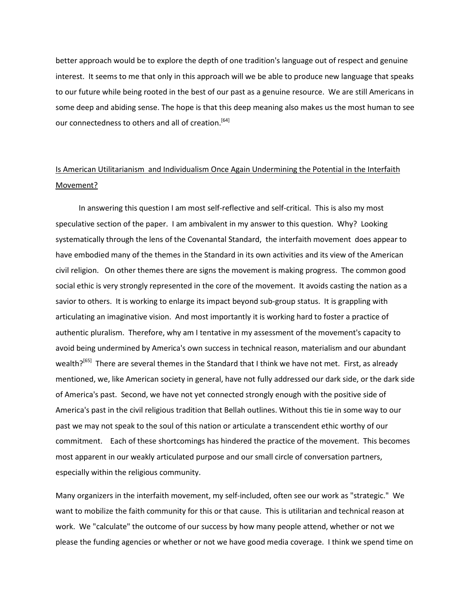better approach would be to explore the depth of one tradition's language out of respect and genuine interest. It seems to me that only in this approach will we be able to produce new language that speaks to our future while being rooted in the best of our past as a genuine resource. We are still Americans in some deep and abiding sense. The hope is that this deep meaning also makes us the most human to see our connectedness to others and all of creation.<sup>[64]</sup>

# Is American Utilitarianism and Individualism Once Again Undermining the Potential in the Interfaith Movement?

 In answering this question I am most self-reflective and self-critical. This is also my most speculative section of the paper. I am ambivalent in my answer to this question. Why? Looking systematically through the lens of the Covenantal Standard, the interfaith movement does appear to have embodied many of the themes in the Standard in its own activities and its view of the American civil religion. On other themes there are signs the movement is making progress. The common good social ethic is very strongly represented in the core of the movement. It avoids casting the nation as a savior to others. It is working to enlarge its impact beyond sub-group status. It is grappling with articulating an imaginative vision. And most importantly it is working hard to foster a practice of authentic pluralism. Therefore, why am I tentative in my assessment of the movement's capacity to avoid being undermined by America's own success in technical reason, materialism and our abundant wealth?<sup>[65]</sup> There are several themes in the Standard that I think we have not met. First, as already mentioned, we, like American society in general, have not fully addressed our dark side, or the dark side of America's past. Second, we have not yet connected strongly enough with the positive side of America's past in the civil religious tradition that Bellah outlines. Without this tie in some way to our past we may not speak to the soul of this nation or articulate a transcendent ethic worthy of our commitment. Each of these shortcomings has hindered the practice of the movement. This becomes most apparent in our weakly articulated purpose and our small circle of conversation partners, especially within the religious community.

Many organizers in the interfaith movement, my self-included, often see our work as "strategic." We want to mobilize the faith community for this or that cause. This is utilitarian and technical reason at work. We "calculate" the outcome of our success by how many people attend, whether or not we please the funding agencies or whether or not we have good media coverage. I think we spend time on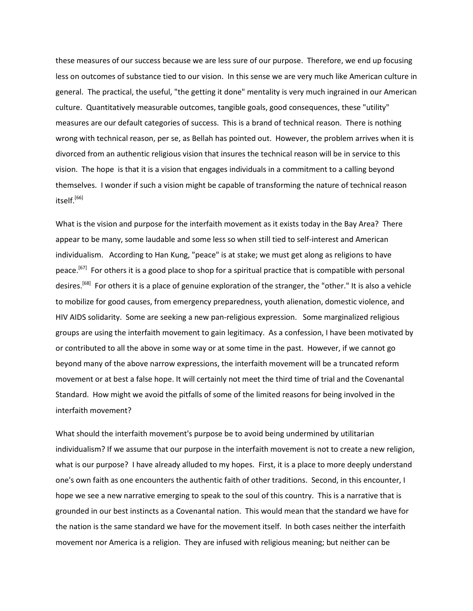these measures of our success because we are less sure of our purpose. Therefore, we end up focusing less on outcomes of substance tied to our vision. In this sense we are very much like American culture in general. The practical, the useful, "the getting it done" mentality is very much ingrained in our American culture. Quantitatively measurable outcomes, tangible goals, good consequences, these "utility" measures are our default categories of success. This is a brand of technical reason. There is nothing wrong with technical reason, per se, as Bellah has pointed out. However, the problem arrives when it is divorced from an authentic religious vision that insures the technical reason will be in service to this vision. The hope is that it is a vision that engages individuals in a commitment to a calling beyond themselves. I wonder if such a vision might be capable of transforming the nature of technical reason itself.<sup>[66]</sup>

What is the vision and purpose for the interfaith movement as it exists today in the Bay Area? There appear to be many, some laudable and some less so when still tied to self-interest and American individualism. According to Han Kung, "peace" is at stake; we must get along as religions to have peace.<sup>[67]</sup> For others it is a good place to shop for a spiritual practice that is compatible with personal desires.<sup>[68]</sup> For others it is a place of genuine exploration of the stranger, the "other." It is also a vehicle to mobilize for good causes, from emergency preparedness, youth alienation, domestic violence, and HIV AIDS solidarity. Some are seeking a new pan-religious expression. Some marginalized religious groups are using the interfaith movement to gain legitimacy. As a confession, I have been motivated by or contributed to all the above in some way or at some time in the past. However, if we cannot go beyond many of the above narrow expressions, the interfaith movement will be a truncated reform movement or at best a false hope. It will certainly not meet the third time of trial and the Covenantal Standard. How might we avoid the pitfalls of some of the limited reasons for being involved in the interfaith movement?

What should the interfaith movement's purpose be to avoid being undermined by utilitarian individualism? If we assume that our purpose in the interfaith movement is not to create a new religion, what is our purpose? I have already alluded to my hopes. First, it is a place to more deeply understand one's own faith as one encounters the authentic faith of other traditions. Second, in this encounter, I hope we see a new narrative emerging to speak to the soul of this country. This is a narrative that is grounded in our best instincts as a Covenantal nation. This would mean that the standard we have for the nation is the same standard we have for the movement itself. In both cases neither the interfaith movement nor America is a religion. They are infused with religious meaning; but neither can be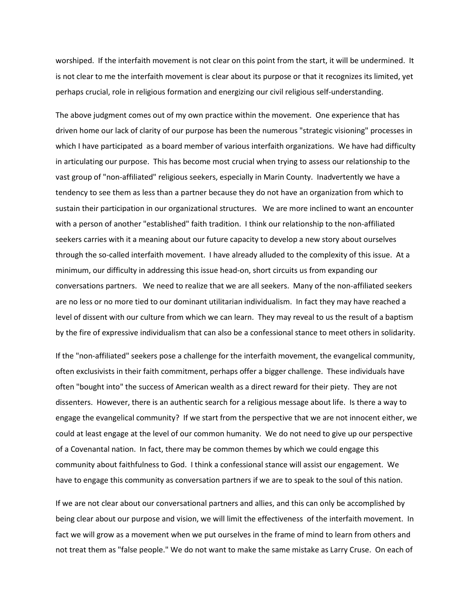worshiped. If the interfaith movement is not clear on this point from the start, it will be undermined. It is not clear to me the interfaith movement is clear about its purpose or that it recognizes its limited, yet perhaps crucial, role in religious formation and energizing our civil religious self-understanding.

The above judgment comes out of my own practice within the movement. One experience that has driven home our lack of clarity of our purpose has been the numerous "strategic visioning" processes in which I have participated as a board member of various interfaith organizations. We have had difficulty in articulating our purpose. This has become most crucial when trying to assess our relationship to the vast group of "non-affiliated" religious seekers, especially in Marin County. Inadvertently we have a tendency to see them as less than a partner because they do not have an organization from which to sustain their participation in our organizational structures. We are more inclined to want an encounter with a person of another "established" faith tradition. I think our relationship to the non-affiliated seekers carries with it a meaning about our future capacity to develop a new story about ourselves through the so-called interfaith movement. I have already alluded to the complexity of this issue. At a minimum, our difficulty in addressing this issue head-on, short circuits us from expanding our conversations partners. We need to realize that we are all seekers. Many of the non-affiliated seekers are no less or no more tied to our dominant utilitarian individualism. In fact they may have reached a level of dissent with our culture from which we can learn. They may reveal to us the result of a baptism by the fire of expressive individualism that can also be a confessional stance to meet others in solidarity.

If the "non-affiliated" seekers pose a challenge for the interfaith movement, the evangelical community, often exclusivists in their faith commitment, perhaps offer a bigger challenge. These individuals have often "bought into" the success of American wealth as a direct reward for their piety. They are not dissenters. However, there is an authentic search for a religious message about life. Is there a way to engage the evangelical community? If we start from the perspective that we are not innocent either, we could at least engage at the level of our common humanity. We do not need to give up our perspective of a Covenantal nation. In fact, there may be common themes by which we could engage this community about faithfulness to God. I think a confessional stance will assist our engagement. We have to engage this community as conversation partners if we are to speak to the soul of this nation.

If we are not clear about our conversational partners and allies, and this can only be accomplished by being clear about our purpose and vision, we will limit the effectiveness of the interfaith movement. In fact we will grow as a movement when we put ourselves in the frame of mind to learn from others and not treat them as "false people." We do not want to make the same mistake as Larry Cruse. On each of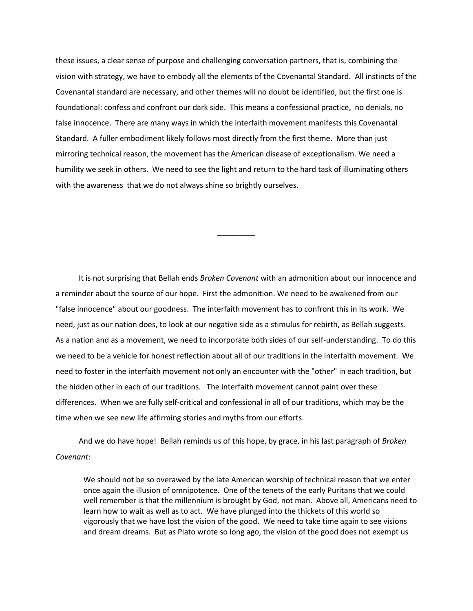these issues, a clear sense of purpose and challenging conversation partners, that is, combining the vision with strategy, we have to embody all the elements of the Covenantal Standard. All instincts of the Covenantal standard are necessary, and other themes will no doubt be identified, but the first one is foundational: confess and confront our dark side. This means a confessional practice, no denials, no false innocence. There are many ways in which the interfaith movement manifests this Covenantal Standard. A fuller embodiment likely follows most directly from the first theme. More than just mirroring technical reason, the movement has the American disease of exceptionalism. We need a humility we seek in others. We need to see the light and return to the hard task of illuminating others with the awareness that we do not always shine so brightly ourselves.

 $\overline{\phantom{a}}$  ,  $\overline{\phantom{a}}$  ,  $\overline{\phantom{a}}$  ,  $\overline{\phantom{a}}$  ,  $\overline{\phantom{a}}$  ,  $\overline{\phantom{a}}$  ,  $\overline{\phantom{a}}$  ,  $\overline{\phantom{a}}$  ,  $\overline{\phantom{a}}$  ,  $\overline{\phantom{a}}$  ,  $\overline{\phantom{a}}$  ,  $\overline{\phantom{a}}$  ,  $\overline{\phantom{a}}$  ,  $\overline{\phantom{a}}$  ,  $\overline{\phantom{a}}$  ,  $\overline{\phantom{a}}$ 

 It is not surprising that Bellah ends *Broken Covenant* with an admonition about our innocence and a reminder about the source of our hope. First the admonition. We need to be awakened from our "false innocence" about our goodness. The interfaith movement has to confront this in its work. We need, just as our nation does, to look at our negative side as a stimulus for rebirth, as Bellah suggests. As a nation and as a movement, we need to incorporate both sides of our self-understanding. To do this we need to be a vehicle for honest reflection about all of our traditions in the interfaith movement. We need to foster in the interfaith movement not only an encounter with the "other" in each tradition, but the hidden other in each of our traditions. The interfaith movement cannot paint over these differences. When we are fully self-critical and confessional in all of our traditions, which may be the time when we see new life affirming stories and myths from our efforts.

 And we do have hope! Bellah reminds us of this hope, by grace, in his last paragraph of *Broken Covenant*:

We should not be so overawed by the late American worship of technical reason that we enter once again the illusion of omnipotence. One of the tenets of the early Puritans that we could well remember is that the millennium is brought by God, not man. Above all, Americans need to learn how to wait as well as to act. We have plunged into the thickets of this world so vigorously that we have lost the vision of the good. We need to take time again to see visions and dream dreams. But as Plato wrote so long ago, the vision of the good does not exempt us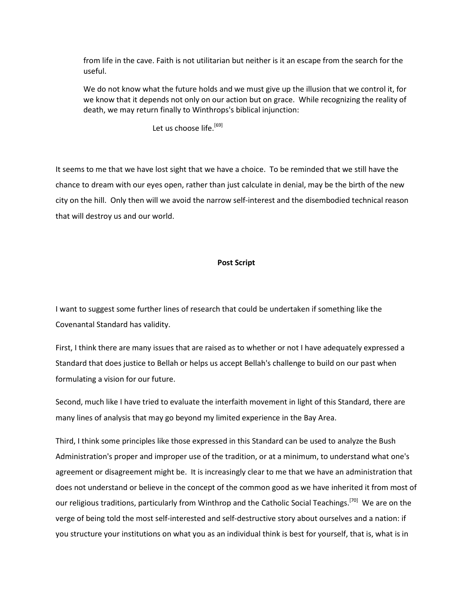from life in the cave. Faith is not utilitarian but neither is it an escape from the search for the useful.

We do not know what the future holds and we must give up the illusion that we control it, for we know that it depends not only on our action but on grace. While recognizing the reality of death, we may return finally to Winthrops's biblical injunction:

Let us choose life.<sup>[69]</sup>

It seems to me that we have lost sight that we have a choice. To be reminded that we still have the chance to dream with our eyes open, rather than just calculate in denial, may be the birth of the new city on the hill. Only then will we avoid the narrow self-interest and the disembodied technical reason that will destroy us and our world.

#### **Post Script**

I want to suggest some further lines of research that could be undertaken if something like the Covenantal Standard has validity.

First, I think there are many issues that are raised as to whether or not I have adequately expressed a Standard that does justice to Bellah or helps us accept Bellah's challenge to build on our past when formulating a vision for our future.

Second, much like I have tried to evaluate the interfaith movement in light of this Standard, there are many lines of analysis that may go beyond my limited experience in the Bay Area.

Third, I think some principles like those expressed in this Standard can be used to analyze the Bush Administration's proper and improper use of the tradition, or at a minimum, to understand what one's agreement or disagreement might be. It is increasingly clear to me that we have an administration that does not understand or believe in the concept of the common good as we have inherited it from most of our religious traditions, particularly from Winthrop and the Catholic Social Teachings.<sup>[70]</sup> We are on the verge of being told the most self-interested and self-destructive story about ourselves and a nation: if you structure your institutions on what you as an individual think is best for yourself, that is, what is in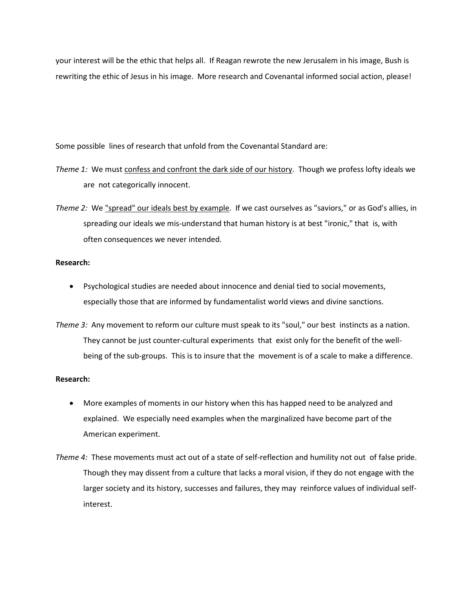your interest will be the ethic that helps all. If Reagan rewrote the new Jerusalem in his image, Bush is rewriting the ethic of Jesus in his image. More research and Covenantal informed social action, please!

Some possible lines of research that unfold from the Covenantal Standard are:

*Theme 1:* We must confess and confront the dark side of our history. Though we profess lofty ideals we are not categorically innocent.

*Theme 2:* We "spread" our ideals best by example. If we cast ourselves as "saviors," or as God's allies, in spreading our ideals we mis-understand that human history is at best "ironic," that is, with often consequences we never intended.

### **Research:**

- Psychological studies are needed about innocence and denial tied to social movements, especially those that are informed by fundamentalist world views and divine sanctions.
- *Theme 3:* Any movement to reform our culture must speak to its "soul," our best instincts as a nation. They cannot be just counter-cultural experiments that exist only for the benefit of the wellbeing of the sub-groups. This is to insure that the movement is of a scale to make a difference.

# **Research:**

- More examples of moments in our history when this has happed need to be analyzed and explained. We especially need examples when the marginalized have become part of the American experiment.
- *Theme 4:* These movements must act out of a state of self-reflection and humility not out of false pride. Though they may dissent from a culture that lacks a moral vision, if they do not engage with the larger society and its history, successes and failures, they may reinforce values of individual selfinterest.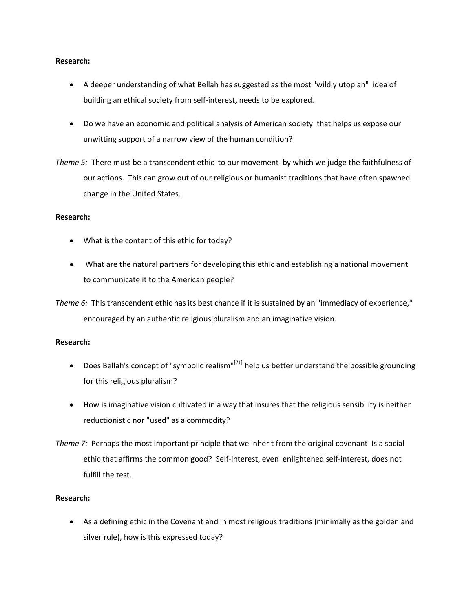### **Research:**

- A deeper understanding of what Bellah has suggested as the most "wildly utopian" idea of building an ethical society from self-interest, needs to be explored.
- Do we have an economic and political analysis of American society that helps us expose our unwitting support of a narrow view of the human condition?
- *Theme 5:* There must be a transcendent ethic to our movement by which we judge the faithfulness of our actions. This can grow out of our religious or humanist traditions that have often spawned change in the United States.

### **Research:**

- What is the content of this ethic for today?
- What are the natural partners for developing this ethic and establishing a national movement to communicate it to the American people?

*Theme 6:* This transcendent ethic has its best chance if it is sustained by an "immediacy of experience," encouraged by an authentic religious pluralism and an imaginative vision.

# **Research:**

- Does Bellah's concept of "symbolic realism"<sup>[71]</sup> help us better understand the possible grounding for this religious pluralism?
- How is imaginative vision cultivated in a way that insures that the religious sensibility is neither reductionistic nor "used" as a commodity?
- *Theme 7:* Perhaps the most important principle that we inherit from the original covenant Is a social ethic that affirms the common good? Self-interest, even enlightened self-interest, does not fulfill the test.

# **Research:**

• As a defining ethic in the Covenant and in most religious traditions (minimally as the golden and silver rule), how is this expressed today?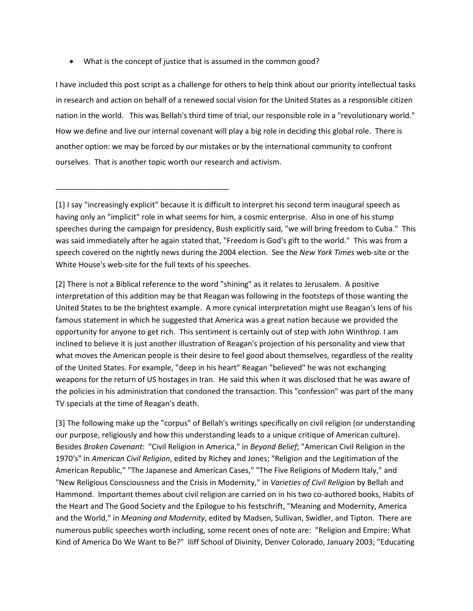• What is the concept of justice that is assumed in the common good?

\_\_\_\_\_\_\_\_\_\_\_\_\_\_\_\_\_\_\_\_\_\_\_\_\_\_\_\_\_\_\_\_\_\_\_\_\_\_\_\_\_

I have included this post script as a challenge for others to help think about our priority intellectual tasks in research and action on behalf of a renewed social vision for the United States as a responsible citizen nation in the world. This was Bellah's third time of trial, our responsible role in a "revolutionary world." How we define and live our internal covenant will play a big role in deciding this global role. There is another option: we may be forced by our mistakes or by the international community to confront ourselves. That is another topic worth our research and activism.

[2] There is not a Biblical reference to the word "shining" as it relates to Jerusalem. A positive interpretation of this addition may be that Reagan was following in the footsteps of those wanting the United States to be the brightest example. A more cynical interpretation might use Reagan's lens of his famous statement in which he suggested that America was a great nation because we provided the opportunity for anyone to get rich. This sentiment is certainly out of step with John Winthrop. I am inclined to believe it is just another illustration of Reagan's projection of his personality and view that what moves the American people is their desire to feel good about themselves, regardless of the reality of the United States. For example, "deep in his heart" Reagan "believed" he was not exchanging weapons for the return of US hostages in Iran. He said this when it was disclosed that he was aware of the policies in his administration that condoned the transaction. This "confession" was part of the many TV specials at the time of Reagan's death.

[3] The following make up the "corpus" of Bellah's writings specifically on civil religion (or understanding our purpose, religiously and how this understanding leads to a unique critique of American culture). Besides *Broken Covenant*: "Civil Religion in America," in *Beyond Belief*; "American Civil Religion in the 1970's" in *American Civil Religion*, edited by Richey and Jones; "Religion and the Legitimation of the American Republic," "The Japanese and American Cases," "The Five Religions of Modern Italy," and "New Religious Consciousness and the Crisis in Modernity," in *Varieties of Civil Religion* by Bellah and Hammond. Important themes about civil religion are carried on in his two co-authored books, Habits of the Heart and The Good Society and the Epilogue to his festschrift, "Meaning and Modernity, America and the World," in *Meaning and Modernity*, edited by Madsen, Sullivan, Swidler, and Tipton. There are numerous public speeches worth including, some recent ones of note are: "Religion and Empire: What Kind of America Do We Want to Be?" Iliff School of Divinity, Denver Colorado, January 2003; "Educating

<sup>[1]</sup> I say "increasingly explicit" because it is difficult to interpret his second term inaugural speech as having only an "implicit" role in what seems for him, a cosmic enterprise. Also in one of his stump speeches during the campaign for presidency, Bush explicitly said, "we will bring freedom to Cuba." This was said immediately after he again stated that, "Freedom is God's gift to the world." This was from a speech covered on the nightly news during the 2004 election. See the *New York Times* web-site or the White House's web-site for the full texts of his speeches.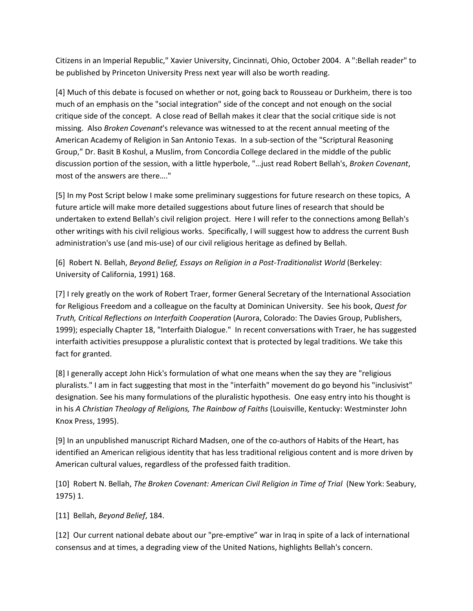Citizens in an Imperial Republic," Xavier University, Cincinnati, Ohio, October 2004. A ":Bellah reader" to be published by Princeton University Press next year will also be worth reading.

[4] Much of this debate is focused on whether or not, going back to Rousseau or Durkheim, there is too much of an emphasis on the "social integration" side of the concept and not enough on the social critique side of the concept. A close read of Bellah makes it clear that the social critique side is not missing. Also *Broken Covenant*'s relevance was witnessed to at the recent annual meeting of the American Academy of Religion in San Antonio Texas. In a sub-section of the "Scriptural Reasoning Group," Dr. Basit B Koshul, a Muslim, from Concordia College declared in the middle of the public discussion portion of the session, with a little hyperbole, "…just read Robert Bellah's, *Broken Covenant*, most of the answers are there…."

[5] In my Post Script below I make some preliminary suggestions for future research on these topics, A future article will make more detailed suggestions about future lines of research that should be undertaken to extend Bellah's civil religion project. Here I will refer to the connections among Bellah's other writings with his civil religious works. Specifically, I will suggest how to address the current Bush administration's use (and mis-use) of our civil religious heritage as defined by Bellah.

[6] Robert N. Bellah, *Beyond Belief, Essays on Religion in a Post-Traditionalist World* (Berkeley: University of California, 1991) 168.

[7] I rely greatly on the work of Robert Traer, former General Secretary of the International Association for Religious Freedom and a colleague on the faculty at Dominican University. See his book, *Quest for Truth, Critical Reflections on Interfaith Cooperation* (Aurora, Colorado: The Davies Group, Publishers, 1999); especially Chapter 18, "Interfaith Dialogue." In recent conversations with Traer, he has suggested interfaith activities presuppose a pluralistic context that is protected by legal traditions. We take this fact for granted.

[8] I generally accept John Hick's formulation of what one means when the say they are "religious pluralists." I am in fact suggesting that most in the "interfaith" movement do go beyond his "inclusivist" designation. See his many formulations of the pluralistic hypothesis. One easy entry into his thought is in his *A Christian Theology of Religions, The Rainbow of Faiths* (Louisville, Kentucky: Westminster John Knox Press, 1995).

[9] In an unpublished manuscript Richard Madsen, one of the co-authors of Habits of the Heart, has identified an American religious identity that has less traditional religious content and is more driven by American cultural values, regardless of the professed faith tradition.

[10] Robert N. Bellah, *The Broken Covenant: American Civil Religion in Time of Trial* (New York: Seabury, 1975) 1.

[11] Bellah, *Beyond Belief*, 184.

[12] Our current national debate about our "pre-emptive" war in Iraq in spite of a lack of international consensus and at times, a degrading view of the United Nations, highlights Bellah's concern.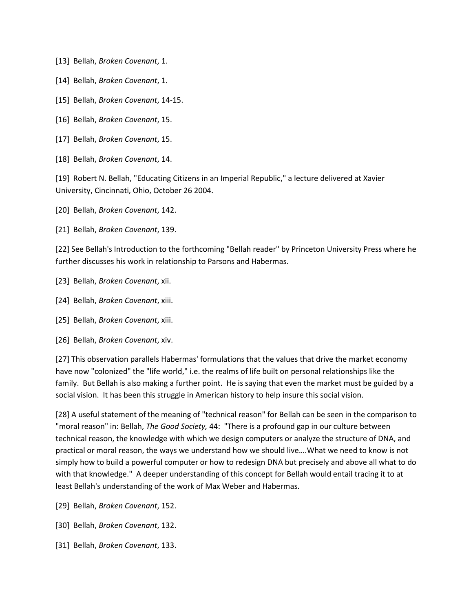- [13] Bellah, *Broken Covenant*, 1.
- [14] Bellah, *Broken Covenant*, 1.
- [15] Bellah, *Broken Covenant*, 14-15.
- [16] Bellah, *Broken Covenant*, 15.
- [17] Bellah, *Broken Covenant*, 15.
- [18] Bellah, *Broken Covenant*, 14.

[19] Robert N. Bellah, "Educating Citizens in an Imperial Republic," a lecture delivered at Xavier University, Cincinnati, Ohio, October 26 2004.

- [20] Bellah, *Broken Covenant*, 142.
- [21] Bellah, *Broken Covenant*, 139.

[22] See Bellah's Introduction to the forthcoming "Bellah reader" by Princeton University Press where he further discusses his work in relationship to Parsons and Habermas.

- [23] Bellah, *Broken Covenant*, xii.
- [24] Bellah, *Broken Covenant*, xiii.
- [25] Bellah, *Broken Covenant*, xiii.
- [26] Bellah, *Broken Covenant*, xiv.

[27] This observation parallels Habermas' formulations that the values that drive the market economy have now "colonized" the "life world," i.e. the realms of life built on personal relationships like the family. But Bellah is also making a further point. He is saying that even the market must be guided by a social vision. It has been this struggle in American history to help insure this social vision.

[28] A useful statement of the meaning of "technical reason" for Bellah can be seen in the comparison to "moral reason" in: Bellah, *The Good Society,* 44: "There is a profound gap in our culture between technical reason, the knowledge with which we design computers or analyze the structure of DNA, and practical or moral reason, the ways we understand how we should live….What we need to know is not simply how to build a powerful computer or how to redesign DNA but precisely and above all what to do with that knowledge." A deeper understanding of this concept for Bellah would entail tracing it to at least Bellah's understanding of the work of Max Weber and Habermas.

- [29] Bellah, *Broken Covenant*, 152.
- [30] Bellah, *Broken Covenant*, 132.
- [31] Bellah, *Broken Covenant*, 133.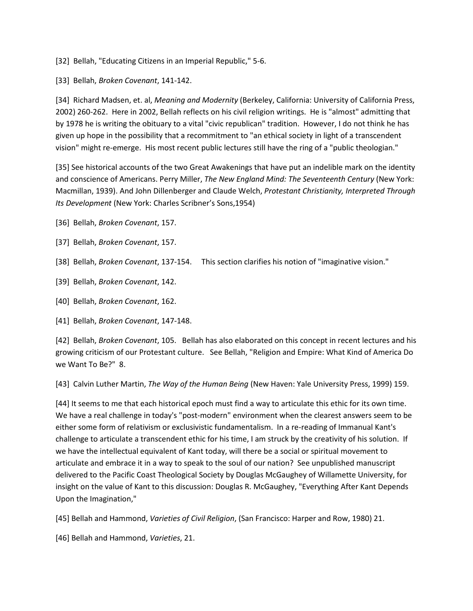[32] Bellah, "Educating Citizens in an Imperial Republic," 5-6.

[33] Bellah, *Broken Covenant*, 141-142.

[34] Richard Madsen, et. al, *Meaning and Modernity* (Berkeley, California: University of California Press, 2002) 260-262. Here in 2002, Bellah reflects on his civil religion writings. He is "almost" admitting that by 1978 he is writing the obituary to a vital "civic republican" tradition. However, I do not think he has given up hope in the possibility that a recommitment to "an ethical society in light of a transcendent vision" might re-emerge. His most recent public lectures still have the ring of a "public theologian."

[35] See historical accounts of the two Great Awakenings that have put an indelible mark on the identity and conscience of Americans. Perry Miller, *The New England Mind: The Seventeenth Century* (New York: Macmillan, 1939). And John Dillenberger and Claude Welch, *Protestant Christianity, Interpreted Through Its Development* (New York: Charles Scribner's Sons,1954)

[36] Bellah, *Broken Covenant*, 157.

- [37] Bellah, *Broken Covenant*, 157.
- [38] Bellah, *Broken Covenant*, 137-154. This section clarifies his notion of "imaginative vision."
- [39] Bellah, *Broken Covenant*, 142.
- [40] Bellah, *Broken Covenant*, 162.
- [41] Bellah, *Broken Covenant*, 147-148.

[42] Bellah, *Broken Covenant*, 105. Bellah has also elaborated on this concept in recent lectures and his growing criticism of our Protestant culture. See Bellah, "Religion and Empire: What Kind of America Do we Want To Be?" 8.

[43] Calvin Luther Martin, *The Way of the Human Being* (New Haven: Yale University Press, 1999) 159.

[44] It seems to me that each historical epoch must find a way to articulate this ethic for its own time. We have a real challenge in today's "post-modern" environment when the clearest answers seem to be either some form of relativism or exclusivistic fundamentalism. In a re-reading of Immanual Kant's challenge to articulate a transcendent ethic for his time, I am struck by the creativity of his solution. If we have the intellectual equivalent of Kant today, will there be a social or spiritual movement to articulate and embrace it in a way to speak to the soul of our nation? See unpublished manuscript delivered to the Pacific Coast Theological Society by Douglas McGaughey of Willamette University, for insight on the value of Kant to this discussion: Douglas R. McGaughey, "Everything After Kant Depends Upon the Imagination,"

[45] Bellah and Hammond, *Varieties of Civil Religion*, (San Francisco: Harper and Row, 1980) 21.

[46] Bellah and Hammond, *Varieties*, 21.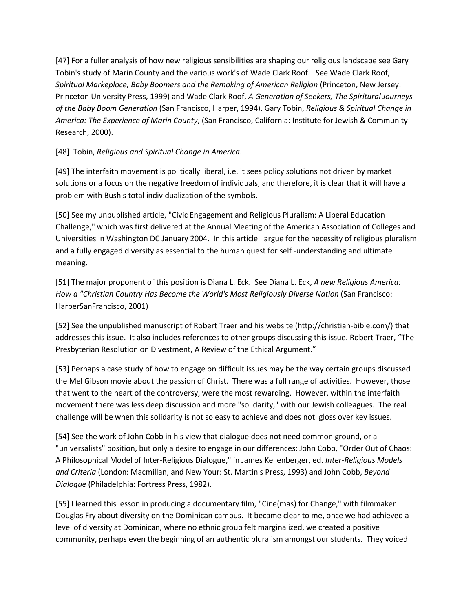[47] For a fuller analysis of how new religious sensibilities are shaping our religious landscape see Gary Tobin's study of Marin County and the various work's of Wade Clark Roof. See Wade Clark Roof, *Spiritual Markeplace, Baby Boomers and the Remaking of American Religion* (Princeton, New Jersey: Princeton University Press, 1999) and Wade Clark Roof, *A Generation of Seekers, The Spiritural Journeys of the Baby Boom Generation* (San Francisco, Harper, 1994). Gary Tobin, *Religious & Spiritual Change in America: The Experience of Marin County*, (San Francisco, California: Institute for Jewish & Community Research, 2000).

[48] Tobin, *Religious and Spiritual Change in America*.

[49] The interfaith movement is politically liberal, i.e. it sees policy solutions not driven by market solutions or a focus on the negative freedom of individuals, and therefore, it is clear that it will have a problem with Bush's total individualization of the symbols.

[50] See my unpublished article, "Civic Engagement and Religious Pluralism: A Liberal Education Challenge," which was first delivered at the Annual Meeting of the American Association of Colleges and Universities in Washington DC January 2004. In this article I argue for the necessity of religious pluralism and a fully engaged diversity as essential to the human quest for self -understanding and ultimate meaning.

[51] The major proponent of this position is Diana L. Eck. See Diana L. Eck, *A new Religious America: How a "Christian Country Has Become the World's Most Religiously Diverse Nation* (San Francisco: HarperSanFrancisco, 2001)

[52] See the unpublished manuscript of Robert Traer and his website (http://christian-bible.com/) that addresses this issue. It also includes references to other groups discussing this issue. Robert Traer, "The Presbyterian Resolution on Divestment, A Review of the Ethical Argument."

[53] Perhaps a case study of how to engage on difficult issues may be the way certain groups discussed the Mel Gibson movie about the passion of Christ. There was a full range of activities. However, those that went to the heart of the controversy, were the most rewarding. However, within the interfaith movement there was less deep discussion and more "solidarity," with our Jewish colleagues. The real challenge will be when this solidarity is not so easy to achieve and does not gloss over key issues.

[54] See the work of John Cobb in his view that dialogue does not need common ground, or a "universalists" position, but only a desire to engage in our differences: John Cobb, "Order Out of Chaos: A Philosophical Model of Inter-Religious Dialogue," in James Kellenberger, ed. *Inter-Religious Models and Criteria* (London: Macmillan, and New Your: St. Martin's Press, 1993) and John Cobb, *Beyond Dialogue* (Philadelphia: Fortress Press, 1982).

[55] I learned this lesson in producing a documentary film, "Cine(mas) for Change," with filmmaker Douglas Fry about diversity on the Dominican campus. It became clear to me, once we had achieved a level of diversity at Dominican, where no ethnic group felt marginalized, we created a positive community, perhaps even the beginning of an authentic pluralism amongst our students. They voiced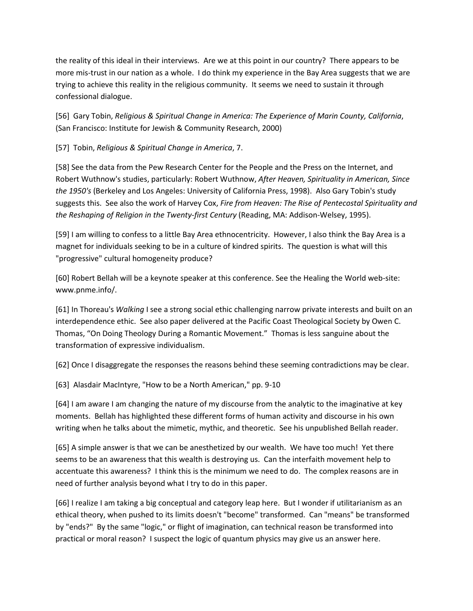the reality of this ideal in their interviews. Are we at this point in our country? There appears to be more mis-trust in our nation as a whole. I do think my experience in the Bay Area suggests that we are trying to achieve this reality in the religious community. It seems we need to sustain it through confessional dialogue.

[56] Gary Tobin, *Religious & Spiritual Change in America: The Experience of Marin County, California*, (San Francisco: Institute for Jewish & Community Research, 2000)

[57] Tobin, *Religious & Spiritual Change in America*, 7.

[58] See the data from the Pew Research Center for the People and the Press on the Internet, and Robert Wuthnow's studies, particularly: Robert Wuthnow, *After Heaven, Spirituality in American, Since the 1950's* (Berkeley and Los Angeles: University of California Press, 1998). Also Gary Tobin's study suggests this. See also the work of Harvey Cox, *Fire from Heaven: The Rise of Pentecostal Spirituality and the Reshaping of Religion in the Twenty-first Century* (Reading, MA: Addison-Welsey, 1995).

[59] I am willing to confess to a little Bay Area ethnocentricity. However, I also think the Bay Area is a magnet for individuals seeking to be in a culture of kindred spirits. The question is what will this "progressive" cultural homogeneity produce?

[60] Robert Bellah will be a keynote speaker at this conference. See the Healing the World web-site: www.pnme.info/.

[61] In Thoreau's *Walking* I see a strong social ethic challenging narrow private interests and built on an interdependence ethic. See also paper delivered at the Pacific Coast Theological Society by Owen C. Thomas, "On Doing Theology During a Romantic Movement." Thomas is less sanguine about the transformation of expressive individualism.

[62] Once I disaggregate the responses the reasons behind these seeming contradictions may be clear.

[63] Alasdair MacIntyre, "How to be a North American," pp. 9-10

[64] I am aware I am changing the nature of my discourse from the analytic to the imaginative at key moments. Bellah has highlighted these different forms of human activity and discourse in his own writing when he talks about the mimetic, mythic, and theoretic. See his unpublished Bellah reader.

[65] A simple answer is that we can be anesthetized by our wealth. We have too much! Yet there seems to be an awareness that this wealth is destroying us. Can the interfaith movement help to accentuate this awareness? I think this is the minimum we need to do. The complex reasons are in need of further analysis beyond what I try to do in this paper.

[66] I realize I am taking a big conceptual and category leap here. But I wonder if utilitarianism as an ethical theory, when pushed to its limits doesn't "become" transformed. Can "means" be transformed by "ends?" By the same "logic," or flight of imagination, can technical reason be transformed into practical or moral reason? I suspect the logic of quantum physics may give us an answer here.